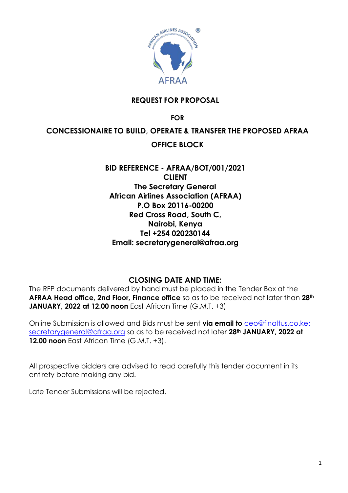

## **REQUEST FOR PROPOSAL**

**FOR**

### **CONCESSIONAIRE TO BUILD, OPERATE & TRANSFER THE PROPOSED AFRAA**

### **OFFICE BLOCK**

## **BID REFERENCE - AFRAA/BOT/001/2021 CLIENT The Secretary General African Airlines Association (AFRAA) P.O Box 20116-00200 Red Cross Road, South C, Nairobi, Kenya Tel +254 020230144 Email: secretarygeneral@afraa.org**

#### **CLOSING DATE AND TIME:**

The RFP documents delivered by hand must be placed in the Tender Box at the **AFRAA Head office, 2nd Floor, Finance office** so as to be received not later than **28th JANUARY, 2022 at 12.00 noon** East African Time (G.M.T. +3)

Online Submission is allowed and Bids must be sent **via email to** [ceo@finaltus.co.ke;](mailto:ceo@finaltus.co.ke) [secretarygeneral@afraa.org](mailto:secretarygeneral@afraa.org) so as to be received not later **28th JANUARY, 2022 at 12.00 noon** East African Time (G.M.T. +3).

All prospective bidders are advised to read carefully this tender document in its entirety before making any bid.

Late Tender Submissions will be rejected.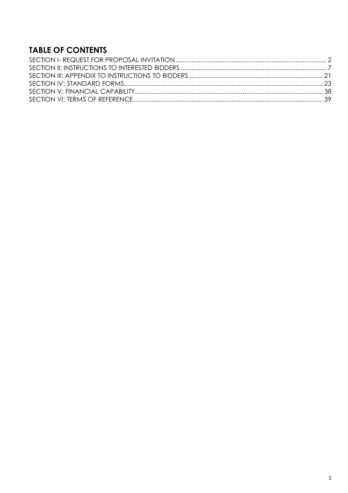# **TABLE OF CONTENTS**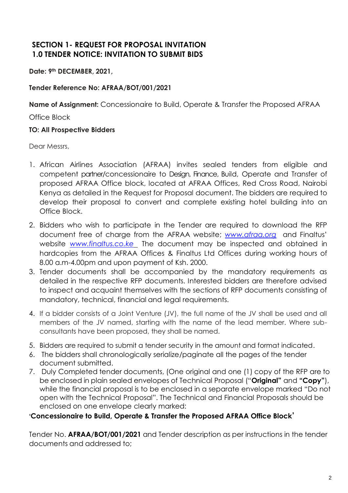## <span id="page-2-0"></span>**SECTION 1- REQUEST FOR PROPOSAL INVITATION 1.0 TENDER NOTICE: INVITATION TO SUBMIT BIDS**

**Date: 9th DECEMBER, 2021,** 

### **Tender Reference No: AFRAA/BOT/001/2021**

**Name of Assignment:** Concessionaire to Build, Operate & Transfer the Proposed AFRAA

Office Block

#### **TO: All Prospective Bidders**

Dear Messrs,

- 1. African Airlines Association (AFRAA) invites sealed tenders from eligible and competent partner/concessionaire to Design, Finance, Build, Operate and Transfer of proposed AFRAA Office block, located at AFRAA Offices, Red Cross Road, Nairobi Kenya as detailed in the Request for Proposal document. The bidders are required to develop their proposal to convert and complete existing hotel building into an Office Block.
- 2. Bidders who wish to participate in the Tender are required to download the RFP document free of charge from the AFRAA website; *[www.afraa.org](http://www.afraa.org/)* and Finaltus' website *[www.finaltus.co.ke](http://www.finaltus.co.ke/)* The document may be inspected and obtained in hardcopies from the AFRAA Offices & Finaltus Ltd Offices during working hours of 8.00 a.m-4.00pm and upon payment of Ksh. 2000.
- 3. Tender documents shall be accompanied by the mandatory requirements as detailed in the respective RFP documents. Interested bidders are therefore advised to inspect and acquaint themselves with the sections of RFP documents consisting of mandatory, technical, financial and legal requirements.
- 4. If a bidder consists of a Joint Venture (JV), the full name of the JV shall be used and all members of the JV named, starting with the name of the lead member. Where subconsultants have been proposed, they shall be named.
- 5. Bidders are required to submit a tender security in the amount and format indicated.
- 6. The bidders shall chronologically serialize/paginate all the pages of the tender document submitted.
- 7. Duly Completed tender documents, (One original and one (1) copy of the RFP are to be enclosed in plain sealed envelopes of Technical Proposal ("**Original"** and **"Copy"**), while the financial proposal is to be enclosed in a separate envelope marked "Do not open with the Technical Proposal". The Technical and Financial Proposals should be enclosed on one envelope clearly marked:

### **'Concessionaire to Build, Operate & Transfer the Proposed AFRAA Office Block'**

Tender No. **AFRAA/BOT/001/2021** and Tender description as per instructions in the tender documents and addressed to;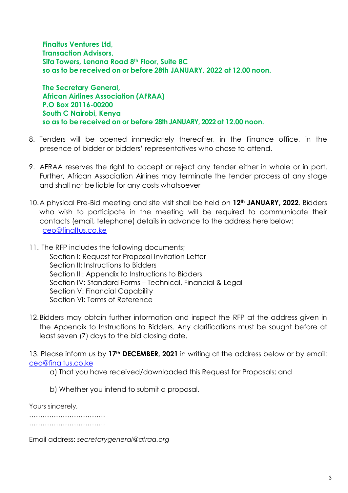**Finaltus Ventures Ltd, Transaction Advisors, Sifa Towers, Lenana Road 8th Floor, Suite 8C so as to be received on or before 28th JANUARY, 2022 at 12.00 noon.**

**The Secretary General, African Airlines Association (AFRAA) P.O Box 20116-00200 South C Nairobi, Kenya so as to be received on or before 28th JANUARY, 2022 at 12.00 noon.**

- 8. Tenders will be opened immediately thereafter, in the Finance office, in the presence of bidder or bidders' representatives who chose to attend.
- 9. AFRAA reserves the right to accept or reject any tender either in whole or in part. Further, African Association Airlines may terminate the tender process at any stage and shall not be liable for any costs whatsoever
- 10.A physical Pre-Bid meeting and site visit shall be held on **12th JANUARY, 2022**. Bidders who wish to participate in the meeting will be required to communicate their contacts (email, telephone) details in advance to the address here below: [ceo@finaltus.co.ke](mailto:ceo@finaltus.co.ke)
- 11. The RFP includes the following documents; Section I: Request for Proposal Invitation Letter Section II: Instructions to Bidders Section III: Appendix to Instructions to Bidders Section IV: Standard Forms – Technical, Financial & Legal Section V: Financial Capability Section VI<sup>.</sup> Terms of Reference
- 12.Bidders may obtain further information and inspect the RFP at the address given in the Appendix to Instructions to Bidders. Any clarifications must be sought before at least seven (7) days to the bid closing date.

13. Please inform us by **17th DECEMBER, 2021** in writing at the address below or by email: [ceo@finaltus.co.ke](mailto:ceo@finaltus.co.ke)

- a) That you have received/downloaded this Request for Proposals; and
- b) Whether you intend to submit a proposal.

Yours sincerely,

……………………………………

………………………………………

Email address: *secretarygeneral@afraa.org*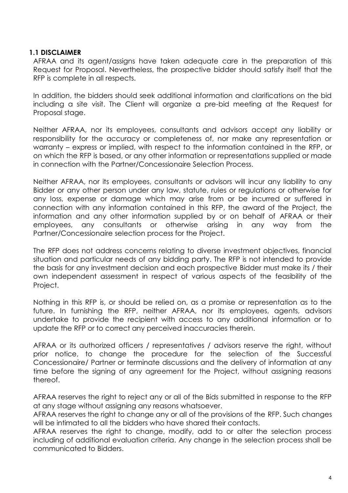#### **1.1 DISCLAIMER**

AFRAA and its agent/assigns have taken adequate care in the preparation of this Request for Proposal. Nevertheless, the prospective bidder should satisfy itself that the RFP is complete in all respects.

In addition, the bidders should seek additional information and clarifications on the bid including a site visit. The Client will organize a pre-bid meeting at the Request for Proposal stage.

Neither AFRAA, nor its employees, consultants and advisors accept any liability or responsibility for the accuracy or completeness of, nor make any representation or warranty – express or implied, with respect to the information contained in the RFP, or on which the RFP is based, or any other information or representations supplied or made in connection with the Partner/Concessionaire Selection Process.

Neither AFRAA, nor its employees, consultants or advisors will incur any liability to any Bidder or any other person under any law, statute, rules or regulations or otherwise for any loss, expense or damage which may arise from or be incurred or suffered in connection with any information contained in this RFP, the award of the Project, the information and any other information supplied by or on behalf of AFRAA or their employees, any consultants or otherwise arising in any way from the Partner/Concessionaire selection process for the Project.

The RFP does not address concerns relating to diverse investment objectives, financial situation and particular needs of any bidding party. The RFP is not intended to provide the basis for any investment decision and each prospective Bidder must make its / their own independent assessment in respect of various aspects of the feasibility of the Project.

Nothing in this RFP is, or should be relied on, as a promise or representation as to the future. In furnishing the RFP, neither AFRAA, nor its employees, agents, advisors undertake to provide the recipient with access to any additional information or to update the RFP or to correct any perceived inaccuracies therein.

AFRAA or its authorized officers / representatives / advisors reserve the right, without prior notice, to change the procedure for the selection of the Successful Concessionaire/ Partner or terminate discussions and the delivery of information at any time before the signing of any agreement for the Project, without assigning reasons thereof.

AFRAA reserves the right to reject any or all of the Bids submitted in response to the RFP at any stage without assigning any reasons whatsoever.

AFRAA reserves the right to change any or all of the provisions of the RFP. Such changes will be intimated to all the bidders who have shared their contacts.

AFRAA reserves the right to change, modify, add to or alter the selection process including of additional evaluation criteria. Any change in the selection process shall be communicated to Bidders.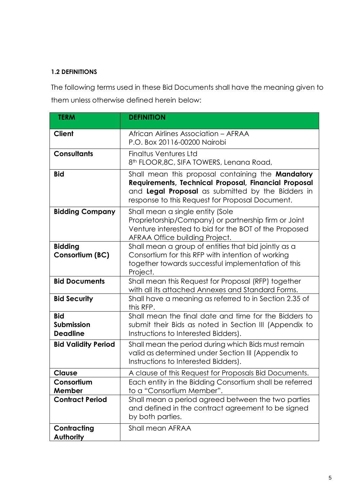### **1.2 DEFINITIONS**

The following terms used in these Bid Documents shall have the meaning given to them unless otherwise defined herein below:

| <b>TERM</b>                                 | <b>DEFINITION</b>                                                                                                                                                                                                 |  |
|---------------------------------------------|-------------------------------------------------------------------------------------------------------------------------------------------------------------------------------------------------------------------|--|
| <b>Client</b>                               | African Airlines Association - AFRAA<br>P.O. Box 20116-00200 Nairobi                                                                                                                                              |  |
| <b>Consultants</b>                          | Finaltus Ventures Ltd<br>8 <sup>th</sup> FLOOR, 8C, SIFA TOWERS, Lenana Road,                                                                                                                                     |  |
| <b>Bid</b>                                  | Shall mean this proposal containing the Mandatory<br>Requirements, Technical Proposal, Financial Proposal<br>and Legal Proposal as submitted by the Bidders in<br>response to this Request for Proposal Document. |  |
| <b>Bidding Company</b>                      | Shall mean a single entity (Sole<br>Proprietorship/Company) or partnership firm or Joint<br>Venture interested to bid for the BOT of the Proposed<br>AFRAA Office building Project.                               |  |
| <b>Bidding</b><br>Consortium (BC)           | Shall mean a group of entities that bid jointly as a<br>Consortium for this RFP with intention of working<br>together towards successful implementation of this<br>Project.                                       |  |
| <b>Bid Documents</b>                        | Shall mean this Request for Proposal (RFP) together<br>with all its attached Annexes and Standard Forms.                                                                                                          |  |
| <b>Bid Security</b>                         | Shall have a meaning as referred to in Section 2.35 of<br>this RFP.                                                                                                                                               |  |
| <b>Bid</b><br>Submission<br><b>Deadline</b> | Shall mean the final date and time for the Bidders to<br>submit their Bids as noted in Section III (Appendix to<br>Instructions to Interested Bidders).                                                           |  |
| <b>Bid Validity Period</b>                  | Shall mean the period during which Bids must remain<br>valid as determined under Section III (Appendix to<br>Instructions to Interested Bidders).                                                                 |  |
| Clause                                      | A clause of this Request for Proposals Bid Documents.                                                                                                                                                             |  |
| Consortium<br>Member                        | Each entity in the Bidding Consortium shall be referred<br>to a "Consortium Member".                                                                                                                              |  |
| <b>Contract Period</b>                      | Shall mean a period agreed between the two parties<br>and defined in the contract agreement to be signed<br>by both parties.                                                                                      |  |
| Contracting<br><b>Authority</b>             | Shall mean AFRAA                                                                                                                                                                                                  |  |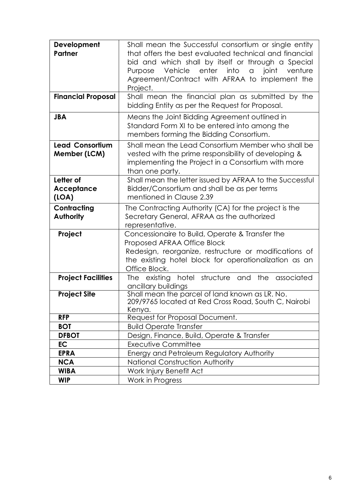| Development<br>Partner                 | Shall mean the Successful consortium or single entity<br>that offers the best evaluated technical and financial<br>bid and which shall by itself or through a Special<br>Vehicle enter into<br>joint<br>$\alpha$<br>venture<br>Purpose<br>Agreement/Contract with AFRAA to implement the<br>Project. |  |  |
|----------------------------------------|------------------------------------------------------------------------------------------------------------------------------------------------------------------------------------------------------------------------------------------------------------------------------------------------------|--|--|
| <b>Financial Proposal</b>              | Shall mean the financial plan as submitted by the<br>bidding Entity as per the Request for Proposal.                                                                                                                                                                                                 |  |  |
| <b>JBA</b>                             | Means the Joint Bidding Agreement outlined in<br>Standard Form XI to be entered into among the<br>members forming the Bidding Consortium.                                                                                                                                                            |  |  |
| <b>Lead Consortium</b><br>Member (LCM) | Shall mean the Lead Consortium Member who shall be<br>vested with the prime responsibility of developing &<br>implementing the Project in a Consortium with more<br>than one party.                                                                                                                  |  |  |
| Letter of<br>Acceptance<br>(LOA)       | Shall mean the letter issued by AFRAA to the Successful<br>Bidder/Consortium and shall be as per terms<br>mentioned in Clause 2.39                                                                                                                                                                   |  |  |
| Contracting<br><b>Authority</b>        | The Contracting Authority (CA) for the project is the<br>Secretary General, AFRAA as the authorized<br>representative.                                                                                                                                                                               |  |  |
| Project                                | Concessionaire to Build, Operate & Transfer the<br>Proposed AFRAA Office Block<br>Redesign, reorganize, restructure or modifications of<br>the existing hotel block for operationalization as an<br>Office Block.                                                                                    |  |  |
| <b>Project Facilities</b>              | structure and<br>the<br>associated<br>existing hotel<br>The<br>ancillary buildings                                                                                                                                                                                                                   |  |  |
| <b>Project Site</b>                    | Shall mean the parcel of land known as LR. No.<br>209/9765 located at Red Cross Road, South C, Nairobi<br>Kenya.                                                                                                                                                                                     |  |  |
| <b>RFP</b>                             | Request for Proposal Document.                                                                                                                                                                                                                                                                       |  |  |
| <b>BOT</b>                             | <b>Build Operate Transfer</b>                                                                                                                                                                                                                                                                        |  |  |
| <b>DFBOT</b>                           | Design, Finance, Build, Operate & Transfer                                                                                                                                                                                                                                                           |  |  |
| <b>EC</b>                              | Executive Committee                                                                                                                                                                                                                                                                                  |  |  |
| <b>EPRA</b>                            | Energy and Petroleum Regulatory Authority                                                                                                                                                                                                                                                            |  |  |
| <b>NCA</b>                             | National Construction Authority                                                                                                                                                                                                                                                                      |  |  |
| <b>WIBA</b>                            | Work Injury Benefit Act                                                                                                                                                                                                                                                                              |  |  |
| <b>WIP</b>                             | Work in Progress                                                                                                                                                                                                                                                                                     |  |  |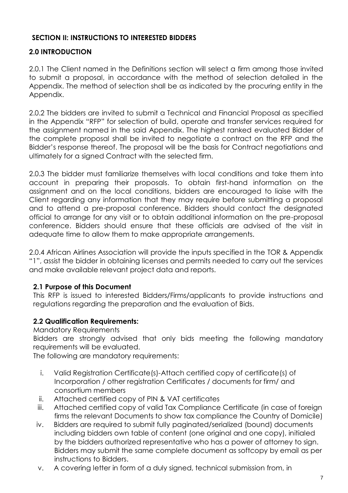## <span id="page-7-0"></span>**SECTION II: INSTRUCTIONS TO INTERESTED BIDDERS**

## **2.0 INTRODUCTION**

2.0.1 The Client named in the Definitions section will select a firm among those invited to submit a proposal, in accordance with the method of selection detailed in the Appendix. The method of selection shall be as indicated by the procuring entity in the Appendix.

2.0.2 The bidders are invited to submit a Technical and Financial Proposal as specified in the Appendix "RFP" for selection of build, operate and transfer services required for the assignment named in the said Appendix. The highest ranked evaluated Bidder of the complete proposal shall be invited to negotiate a contract on the RFP and the Bidder's response thereof. The proposal will be the basis for Contract negotiations and ultimately for a signed Contract with the selected firm.

2.0.3 The bidder must familiarize themselves with local conditions and take them into account in preparing their proposals. To obtain first-hand information on the assignment and on the local conditions, bidders are encouraged to liaise with the Client regarding any information that they may require before submitting a proposal and to attend a pre-proposal conference. Bidders should contact the designated official to arrange for any visit or to obtain additional information on the pre-proposal conference. Bidders should ensure that these officials are advised of the visit in adequate time to allow them to make appropriate arrangements.

2.0.4 African Airlines Association will provide the inputs specified in the TOR & Appendix "1", assist the bidder in obtaining licenses and permits needed to carry out the services and make available relevant project data and reports.

### **2.1 Purpose of this Document**

This RFP is issued to interested Bidders/Firms/applicants to provide instructions and regulations regarding the preparation and the evaluation of Bids.

## **2.2 Qualification Requirements:**

### Mandatory Requirements

Bidders are strongly advised that only bids meeting the following mandatory requirements will be evaluated.

The following are mandatory requirements:

- i. Valid Registration Certificate(s)-Attach certified copy of certificate(s) of Incorporation / other registration Certificates / documents for firm/ and consortium members
- ii. Attached certified copy of PIN & VAT certificates
- iii. Attached certified copy of valid Tax Compliance Certificate (in case of foreign firms the relevant Documents to show tax compliance the Country of Domicile)
- iv. Bidders are required to submit fully paginated/serialized (bound) documents including bidders own table of content (one original and one copy), initialed by the bidders authorized representative who has a power of attorney to sign. Bidders may submit the same complete document as softcopy by email as per instructions to Bidders.
- v. A covering letter in form of a duly signed, technical submission from, in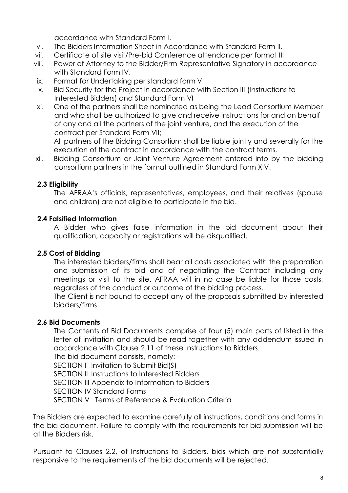accordance with Standard Form I.

- vi. The Bidders Information Sheet in Accordance with Standard Form II.
- vii. Certificate of site visit/Pre-bid Conference attendance per format III
- viii. Power of Attorney to the Bidder/Firm Representative Signatory in accordance with Standard Form IV.
- ix. Format for Undertaking per standard form V
- x. Bid Security for the Project in accordance with Section III (Instructions to Interested Bidders) and Standard Form VI
- xi. One of the partners shall be nominated as being the Lead Consortium Member and who shall be authorized to give and receive instructions for and on behalf of any and all the partners of the joint venture, and the execution of the contract per Standard Form VII;

All partners of the Bidding Consortium shall be liable jointly and severally for the execution of the contract in accordance with the contract terms.

xii. Bidding Consortium or Joint Venture Agreement entered into by the bidding consortium partners in the format outlined in Standard Form XIV.

### **2.3 Eligibility**

The AFRAA's officials, representatives, employees, and their relatives (spouse and children) are not eligible to participate in the bid.

### **2.4 Falsified Information**

A Bidder who gives false information in the bid document about their qualification, capacity or registrations will be disqualified.

### **2.5 Cost of Bidding**

The interested bidders/firms shall bear all costs associated with the preparation and submission of its bid and of negotiating the Contract including any meetings or visit to the site. AFRAA will in no case be liable for those costs, regardless of the conduct or outcome of the bidding process.

The Client is not bound to accept any of the proposals submitted by interested bidders/firms

#### **2.6 Bid Documents**

The Contents of Bid Documents comprise of four (5) main parts of listed in the letter of invitation and should be read together with any addendum issued in accordance with Clause 2.11 of these Instructions to Bidders.

The bid document consists, namely: - SECTION I Invitation to Submit Bid(S)

SECTION II Instructions to Interested Bidders

SECTION III Appendix to Information to Bidders

SECTION IV Standard Forms

SECTION V Terms of Reference & Evaluation Criteria

The Bidders are expected to examine carefully all instructions, conditions and forms in the bid document. Failure to comply with the requirements for bid submission will be at the Bidders risk.

Pursuant to Clauses 2.2, of Instructions to Bidders, bids which are not substantially responsive to the requirements of the bid documents will be rejected.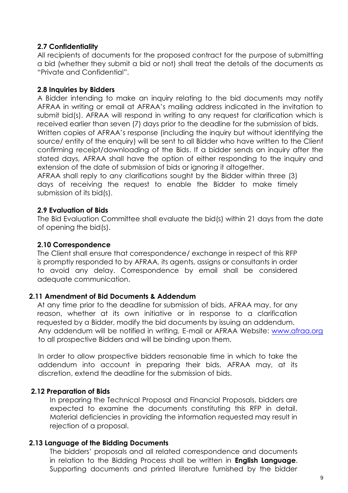### **2.7 Confidentiality**

All recipients of documents for the proposed contract for the purpose of submitting a bid (whether they submit a bid or not) shall treat the details of the documents as "Private and Confidential".

### **2.8 Inquiries by Bidders**

A Bidder intending to make an inquiry relating to the bid documents may notify AFRAA in writing or email at AFRAA's mailing address indicated in the invitation to submit bid(s). AFRAA will respond in writing to any request for clarification which is received earlier than seven (7) days prior to the deadline for the submission of bids. Written copies of AFRAA's response (including the inquiry but without identifying the source/ entity of the enquiry) will be sent to all Bidder who have written to the Client confirming receipt/downloading of the Bids. If a bidder sends an inquiry after the stated days, AFRAA shall have the option of either responding to the inquiry and extension of the date of submission of bids or ignoring it altogether.

AFRAA shall reply to any clarifications sought by the Bidder within three (3) days of receiving the request to enable the Bidder to make timely submission of its bid(s).

### **2.9 Evaluation of Bids**

The Bid Evaluation Committee shall evaluate the bid(s) within 21 days from the date of opening the bid(s).

### **2.10 Correspondence**

The Client shall ensure that correspondence/ exchange in respect of this RFP is promptly responded to by AFRAA, its agents, assigns or consultants in order to avoid any delay. Correspondence by email shall be considered adequate communication.

#### **2.11 Amendment of Bid Documents & Addendum**

At any time prior to the deadline for submission of bids, AFRAA may, for any reason, whether at its own initiative or in response to a clarification requested by a Bidder, modify the bid documents by issuing an addendum. Any addendum will be notified in writing, E-mail or AFRAA Website: [www.afraa.org](http://www.afraa.org/) to all prospective Bidders and will be binding upon them.

In order to allow prospective bidders reasonable time in which to take the addendum into account in preparing their bids, AFRAA may, at its discretion, extend the deadline for the submission of bids.

### **2.12 Preparation of Bids**

In preparing the Technical Proposal and Financial Proposals, bidders are expected to examine the documents constituting this RFP in detail. Material deficiencies in providing the information requested may result in rejection of a proposal.

#### **2.13 Language of the Bidding Documents**

The bidders' proposals and all related correspondence and documents in relation to the Bidding Process shall be written in **English Language**. Supporting documents and printed literature furnished by the bidder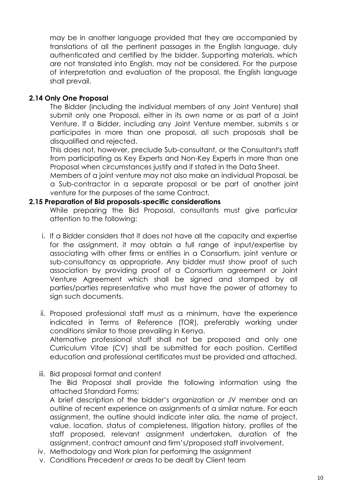may be in another language provided that they are accompanied by translations of all the pertinent passages in the English language, duly authenticated and certified by the bidder. Supporting materials, which are not translated into English, may not be considered. For the purpose of interpretation and evaluation of the proposal, the English language shall prevail.

#### **2.14 Only One Proposal**

The Bidder (including the individual members of any Joint Venture) shall submit only one Proposal, either in its own name or as part of a Joint Venture. If a Bidder, including any Joint Venture member, submits s or participates in more than one proposal, all such proposals shall be disqualified and rejected.

This does not, however, preclude Sub-consultant, or the Consultant's staff from participating as Key Experts and Non-Key Experts in more than one Proposal when circumstances justify and if stated in the Data Sheet.

Members of a joint venture may not also make an individual Proposal, be a Sub-contractor in a separate proposal or be part of another joint venture for the purposes of the same Contract.

#### **2.15 Preparation of Bid proposals-specific considerations**

While preparing the Bid Proposal, consultants must give particular attention to the following:

- i. If a Bidder considers that it does not have all the capacity and expertise for the assignment, it may obtain a full range of input/expertise by associating with other firms or entities in a Consortium, joint venture or sub-consultancy as appropriate. Any bidder must show proof of such association by providing proof of a Consortium agreement or Joint Venture Agreement which shall be signed and stamped by all parties/parties representative who must have the power of attorney to sign such documents.
- ii. Proposed professional staff must as a minimum, have the experience indicated in Terms of Reference (TOR), preferably working under conditions similar to those prevailing in Kenya. Alternative professional staff shall not be proposed and only one Curriculum Vitae (CV) shall be submitted for each position. Certified education and professional certificates must be provided and attached.

#### iii. Bid proposal format and content

The Bid Proposal shall provide the following information using the attached Standard Forms;

A brief description of the bidder's organization or JV member and an outline of recent experience on assignments of a similar nature. For each assignment, the outline should indicate inter alia, the name of project, value, location, status of completeness, litigation history, profiles of the staff proposed, relevant assignment undertaken, duration of the assignment, contract amount and firm's/proposed staff involvement.

- iv. Methodology and Work plan for performing the assignment
- v. Conditions Precedent or areas to be dealt by Client team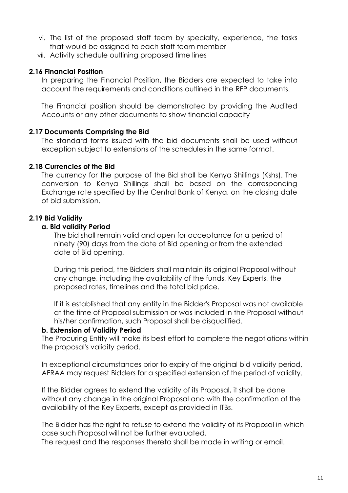- vi. The list of the proposed staff team by specialty, experience, the tasks that would be assigned to each staff team member
- vii. Activity schedule outlining proposed time lines

#### **2.16 Financial Position**

In preparing the Financial Position, the Bidders are expected to take into account the requirements and conditions outlined in the RFP documents.

The Financial position should be demonstrated by providing the Audited Accounts or any other documents to show financial capacity

#### **2.17 Documents Comprising the Bid**

The standard forms issued with the bid documents shall be used without exception subject to extensions of the schedules in the same format.

### **2.18 Currencies of the Bid**

The currency for the purpose of the Bid shall be Kenya Shillings (Kshs). The conversion to Kenya Shillings shall be based on the corresponding Exchange rate specified by the Central Bank of Kenya, on the closing date of bid submission.

### **2.19 Bid Validity**

#### **a. Bid validity Period**

The bid shall remain valid and open for acceptance for a period of ninety (90) days from the date of Bid opening or from the extended date of Bid opening.

During this period, the Bidders shall maintain its original Proposal without any change, including the availability of the funds, Key Experts, the proposed rates, timelines and the total bid price.

If it is established that any entity in the Bidder's Proposal was not available at the time of Proposal submission or was included in the Proposal without his/her confirmation, such Proposal shall be disqualified.

#### **b. Extension of Validity Period**

The Procuring Entity will make its best effort to complete the negotiations within the proposal's validity period.

In exceptional circumstances prior to expiry of the original bid validity period, AFRAA may request Bidders for a specified extension of the period of validity.

If the Bidder agrees to extend the validity of its Proposal, it shall be done without any change in the original Proposal and with the confirmation of the availability of the Key Experts, except as provided in ITBs.

The Bidder has the right to refuse to extend the validity of its Proposal in which case such Proposal will not be further evaluated.

The request and the responses thereto shall be made in writing or email.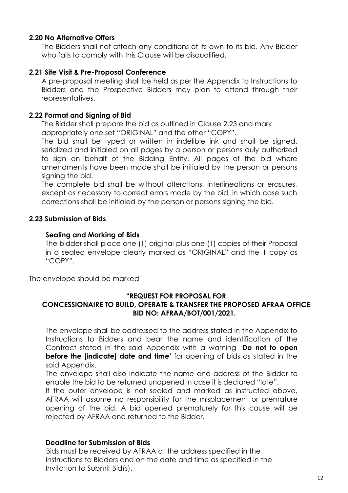#### **2.20 No Alternative Offers**

The Bidders shall not attach any conditions of its own to its bid. Any Bidder who fails to comply with this Clause will be disqualified.

#### **2.21 Site Visit & Pre-Proposal Conference**

A pre-proposal meeting shall be held as per the Appendix to Instructions to Bidders and the Prospective Bidders may plan to attend through their representatives.

#### **2.22 Format and Signing of Bid**

The Bidder shall prepare the bid as outlined in Clause 2.23 and mark appropriately one set "ORIGINAL" and the other "COPY".

The bid shall be typed or written in indelible ink and shall be signed, serialized and initialed on all pages by a person or persons duly authorized to sign on behalf of the Bidding Entity. All pages of the bid where amendments have been made shall be initialed by the person or persons signing the bid.

The complete bid shall be without alterations, interlineations or erasures, except as necessary to correct errors made by the bid, in which case such corrections shall be initialed by the person or persons signing the bid.

#### **2.23 Submission of Bids**

#### **Sealing and Marking of Bids**

The bidder shall place one (1) original plus one (1) copies of their Proposal in a sealed envelope clearly marked as "ORIGINAL" and the 1 copy as "COPY".

The envelope should be marked

#### **"REQUEST FOR PROPOSAL FOR**

### **CONCESSIONAIRE TO BUILD, OPERATE & TRANSFER THE PROPOSED AFRAA OFFICE BID NO: AFRAA/BOT/001/2021.**

The envelope shall be addressed to the address stated in the Appendix to Instructions to Bidders and bear the name and identification of the Contract stated in the said Appendix with a warning '**Do not to open before the [indicate] date and time'** for opening of bids as stated in the said Appendix.

The envelope shall also indicate the name and address of the Bidder to enable the bid to be returned unopened in case it is declared "late".

If the outer envelope is not sealed and marked as instructed above, AFRAA will assume no responsibility for the misplacement or premature opening of the bid. A bid opened prematurely for this cause will be rejected by AFRAA and returned to the Bidder.

#### **Deadline for Submission of Bids**

Bids must be received by AFRAA at the address specified in the Instructions to Bidders and on the date and time as specified in the Invitation to Submit Bid(s).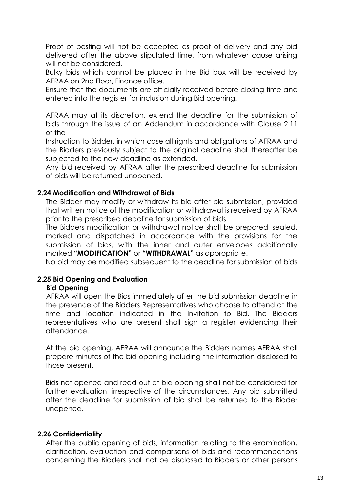Proof of posting will not be accepted as proof of delivery and any bid delivered after the above stipulated time, from whatever cause arising will not be considered.

Bulky bids which cannot be placed in the Bid box will be received by AFRAA on 2nd Floor, Finance office.

Ensure that the documents are officially received before closing time and entered into the register for inclusion during Bid opening.

AFRAA may at its discretion, extend the deadline for the submission of bids through the issue of an Addendum in accordance with Clause 2.11 of the

Instruction to Bidder, in which case all rights and obligations of AFRAA and the Bidders previously subject to the original deadline shall thereafter be subjected to the new deadline as extended.

Any bid received by AFRAA after the prescribed deadline for submission of bids will be returned unopened.

#### **2.24 Modification and Withdrawal of Bids**

The Bidder may modify or withdraw its bid after bid submission, provided that written notice of the modification or withdrawal is received by AFRAA prior to the prescribed deadline for submission of bids.

The Bidders modification or withdrawal notice shall be prepared, sealed, marked and dispatched in accordance with the provisions for the submission of bids, with the inner and outer envelopes additionally marked **"MODIFICATION"** or **"WITHDRAWAL"** as appropriate.

No bid may be modified subsequent to the deadline for submission of bids.

#### **2.25 Bid Opening and Evaluation**

#### **Bid Opening**

AFRAA will open the Bids immediately after the bid submission deadline in the presence of the Bidders Representatives who choose to attend at the time and location indicated in the Invitation to Bid. The Bidders representatives who are present shall sign a register evidencing their attendance.

At the bid opening, AFRAA will announce the Bidders names AFRAA shall prepare minutes of the bid opening including the information disclosed to those present.

Bids not opened and read out at bid opening shall not be considered for further evaluation, irrespective of the circumstances. Any bid submitted after the deadline for submission of bid shall be returned to the Bidder unopened.

#### **2.26 Confidentiality**

After the public opening of bids, information relating to the examination, clarification, evaluation and comparisons of bids and recommendations concerning the Bidders shall not be disclosed to Bidders or other persons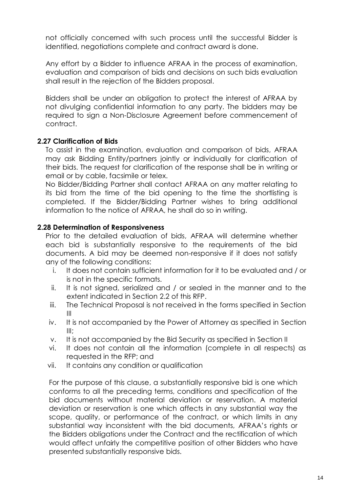not officially concerned with such process until the successful Bidder is identified, negotiations complete and contract award is done.

Any effort by a Bidder to influence AFRAA in the process of examination, evaluation and comparison of bids and decisions on such bids evaluation shall result in the rejection of the Bidders proposal.

Bidders shall be under an obligation to protect the interest of AFRAA by not divulging confidential information to any party. The bidders may be required to sign a Non-Disclosure Agreement before commencement of contract.

### **2.27 Clarification of Bids**

To assist in the examination, evaluation and comparison of bids, AFRAA may ask Bidding Entity/partners jointly or individually for clarification of their bids. The request for clarification of the response shall be in writing or email or by cable, facsimile or telex.

No Bidder/Bidding Partner shall contact AFRAA on any matter relating to its bid from the time of the bid opening to the time the shortlisting is completed. If the Bidder/Bidding Partner wishes to bring additional information to the notice of AFRAA, he shall do so in writing.

### **2.28 Determination of Responsiveness**

Prior to the detailed evaluation of bids, AFRAA will determine whether each bid is substantially responsive to the requirements of the bid documents. A bid may be deemed non-responsive if it does not satisfy any of the following conditions:

- i. It does not contain sufficient information for it to be evaluated and / or is not in the specific formats.
- ii. It is not signed, serialized and / or sealed in the manner and to the extent indicated in Section 2.2 of this RFP.
- iii. The Technical Proposal is not received in the forms specified in Section III
- iv. It is not accompanied by the Power of Attorney as specified in Section  $III$ ;
- v. It is not accompanied by the Bid Security as specified in Section II
- vi. It does not contain all the information (complete in all respects) as requested in the RFP; and
- vii. It contains any condition or qualification

For the purpose of this clause, a substantially responsive bid is one which conforms to all the preceding terms, conditions and specification of the bid documents without material deviation or reservation. A material deviation or reservation is one which affects in any substantial way the scope, quality, or performance of the contract, or which limits in any substantial way inconsistent with the bid documents, AFRAA's rights or the Bidders obligations under the Contract and the rectification of which would affect unfairly the competitive position of other Bidders who have presented substantially responsive bids.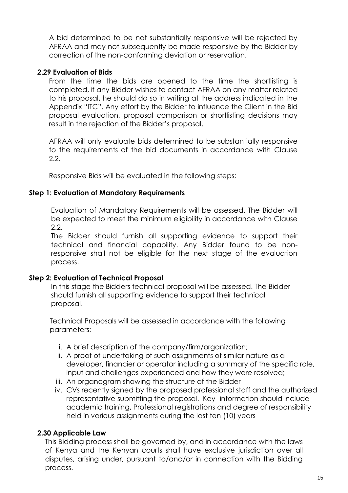A bid determined to be not substantially responsive will be rejected by AFRAA and may not subsequently be made responsive by the Bidder by correction of the non-conforming deviation or reservation.

### **2.29 Evaluation of Bids**

From the time the bids are opened to the time the shortlisting is completed, if any Bidder wishes to contact AFRAA on any matter related to his proposal, he should do so in writing at the address indicated in the Appendix "ITC". Any effort by the Bidder to influence the Client in the Bid proposal evaluation, proposal comparison or shortlisting decisions may result in the rejection of the Bidder's proposal.

AFRAA will only evaluate bids determined to be substantially responsive to the requirements of the bid documents in accordance with Clause 2.2.

Responsive Bids will be evaluated in the following steps;

### **Step 1: Evaluation of Mandatory Requirements**

Evaluation of Mandatory Requirements will be assessed. The Bidder will be expected to meet the minimum eligibility in accordance with Clause 2.2.

The Bidder should furnish all supporting evidence to support their technical and financial capability. Any Bidder found to be nonresponsive shall not be eligible for the next stage of the evaluation process.

#### **Step 2: Evaluation of Technical Proposal**

In this stage the Bidders technical proposal will be assessed. The Bidder should furnish all supporting evidence to support their technical proposal.

Technical Proposals will be assessed in accordance with the following parameters:

- i. A brief description of the company/firm/organization;
- ii. A proof of undertaking of such assignments of similar nature as a developer, financier or operator including a summary of the specific role, input and challenges experienced and how they were resolved;
- iii. An organogram showing the structure of the Bidder
- iv. CVs recently signed by the proposed professional staff and the authorized representative submitting the proposal. Key- information should include academic training, Professional registrations and degree of responsibility held in various assignments during the last ten (10) years

### **2.30 Applicable Law**

This Bidding process shall be governed by, and in accordance with the laws of Kenya and the Kenyan courts shall have exclusive jurisdiction over all disputes, arising under, pursuant to/and/or in connection with the Bidding process.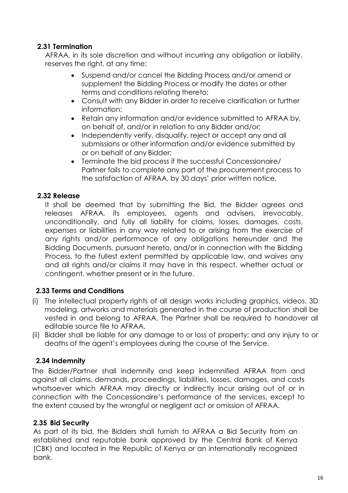## **2.31 Termination**

AFRAA, in its sole discretion and without incurring any obligation or liability, reserves the right, at any time:

- Suspend and/or cancel the Bidding Process and/or amend or supplement the Bidding Process or modify the dates or other terms and conditions relating thereto;
- Consult with any Bidder in order to receive clarification or further information;
- Retain any information and/or evidence submitted to AFRAA by, on behalf of, and/or in relation to any Bidder and/or;
- Independently verify, disqualify, reject or accept any and all submissions or other information and/or evidence submitted by or on behalf of any Bidder;
- Terminate the bid process if the successful Concessionaire/ Partner fails to complete any part of the procurement process to the satisfaction of AFRAA, by 30 days' prior written notice.

### **2.32 Release**

It shall be deemed that by submitting the Bid, the Bidder agrees and releases AFRAA, its employees, agents and advisers, irrevocably, unconditionally, and fully all liability for claims, losses, damages, costs, expenses or liabilities in any way related to or arising from the exercise of any rights and/or performance of any obligations hereunder and the Bidding Documents, pursuant hereto, and/or in connection with the Bidding Process, to the fullest extent permitted by applicable law, and waives any and all rights and/or claims it may have in this respect, whether actual or contingent, whether present or in the future.

### **2.33 Terms and Conditions**

- (i) The intellectual property rights of all design works including graphics, videos, 3D modeling, artworks and materials generated in the course of production shall be vested in and belong to AFRAA. The Partner shall be required to handover all editable source file to AFRAA.
- (ii) Bidder shall be liable for any damage to or loss of property; and any injury to or deaths of the agent's employees during the course of the Service.

## **2.34 Indemnity**

The Bidder/Partner shall indemnify and keep indemnified AFRAA from and against all claims, demands, proceedings, liabilities, losses, damages, and costs whatsoever which AFRAA may directly or indirectly incur arising out of or in connection with the Concessionaire's performance of the services, except to the extent caused by the wrongful or negligent act or omission of AFRAA.

### **2.35 Bid Security**

As part of its bid, the Bidders shall furnish to AFRAA a Bid Security from an established and reputable bank approved by the Central Bank of Kenya (CBK) and located in the Republic of Kenya or an internationally recognized bank.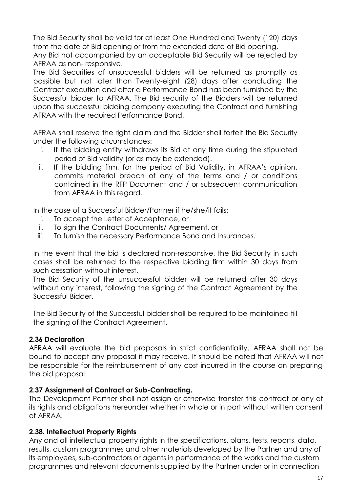The Bid Security shall be valid for at least One Hundred and Twenty (120) days from the date of Bid opening or from the extended date of Bid opening.

Any Bid not accompanied by an acceptable Bid Security will be rejected by AFRAA as non- responsive.

The Bid Securities of unsuccessful bidders will be returned as promptly as possible but not later than Twenty-eight (28) days after concluding the Contract execution and after a Performance Bond has been furnished by the Successful bidder to AFRAA. The Bid security of the Bidders will be returned upon the successful bidding company executing the Contract and furnishing AFRAA with the required Performance Bond.

AFRAA shall reserve the right claim and the Bidder shall forfeit the Bid Security under the following circumstances:

- i. If the bidding entity withdraws its Bid at any time during the stipulated period of Bid validity (or as may be extended).
- ii. If the bidding firm, for the period of Bid Validity, in AFRAA's opinion, commits material breach of any of the terms and / or conditions contained in the RFP Document and / or subsequent communication from AFRAA in this regard.

In the case of a Successful Bidder/Partner if he/she/it fails:

- i. To accept the Letter of Acceptance, or
- ii. To sign the Contract Documents/ Agreement, or
- iii. To furnish the necessary Performance Bond and Insurances.

In the event that the bid is declared non-responsive, the Bid Security in such cases shall be returned to the respective bidding firm within 30 days from such cessation without interest.

The Bid Security of the unsuccessful bidder will be returned after 30 days without any interest, following the signing of the Contract Agreement by the Successful Bidder.

The Bid Security of the Successful bidder shall be required to be maintained till the signing of the Contract Agreement.

### **2.36 Declaration**

AFRAA will evaluate the bid proposals in strict confidentiality. AFRAA shall not be bound to accept any proposal it may receive. It should be noted that AFRAA will not be responsible for the reimbursement of any cost incurred in the course on preparing the bid proposal.

### **2.37 Assignment of Contract or Sub-Contracting.**

The Development Partner shall not assign or otherwise transfer this contract or any of its rights and obligations hereunder whether in whole or in part without written consent of AFRAA.

### **2.38. Intellectual Property Rights**

Any and all intellectual property rights in the specifications, plans, tests, reports, data, results, custom programmes and other materials developed by the Partner and any of its employees, sub-contractors or agents in performance of the works and the custom programmes and relevant documents supplied by the Partner under or in connection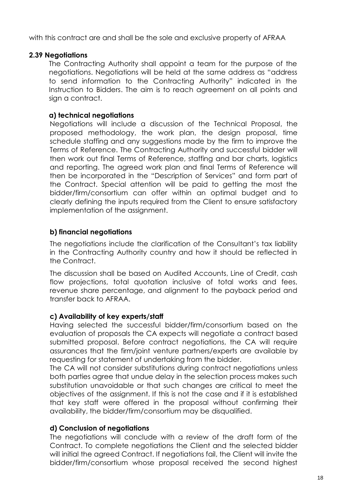with this contract are and shall be the sole and exclusive property of AFRAA

### **2.39 Negotiations**

The Contracting Authority shall appoint a team for the purpose of the negotiations. Negotiations will be held at the same address as "address to send information to the Contracting Authority" indicated in the Instruction to Bidders. The aim is to reach agreement on all points and sian a contract.

### **a) technical negotiations**

Negotiations will include a discussion of the Technical Proposal, the proposed methodology, the work plan, the design proposal, time schedule staffing and any suggestions made by the firm to improve the Terms of Reference. The Contracting Authority and successful bidder will then work out final Terms of Reference, staffing and bar charts, logistics and reporting. The agreed work plan and final Terms of Reference will then be incorporated in the "Description of Services" and form part of the Contract. Special attention will be paid to getting the most the bidder/firm/consortium can offer within an optimal budget and to clearly defining the inputs required from the Client to ensure satisfactory implementation of the assignment.

### **b) financial negotiations**

The negotiations include the clarification of the Consultant's tax liability in the Contracting Authority country and how it should be reflected in the Contract.

The discussion shall be based on Audited Accounts, Line of Credit, cash flow projections, total quotation inclusive of total works and fees, revenue share percentage, and alignment to the payback period and transfer back to AFRAA.

#### **c) Availability of key experts/staff**

Having selected the successful bidder/firm/consortium based on the evaluation of proposals the CA expects will negotiate a contract based submitted proposal. Before contract negotiations, the CA will require assurances that the firm/joint venture partners/experts are available by requesting for statement of undertaking from the bidder.

The CA will not consider substitutions during contract negotiations unless both parties agree that undue delay in the selection process makes such substitution unavoidable or that such changes are critical to meet the objectives of the assignment. If this is not the case and if it is established that key staff were offered in the proposal without confirming their availability, the bidder/firm/consortium may be disqualified.

### **d) Conclusion of negotiations**

The negotiations will conclude with a review of the draft form of the Contract. To complete negotiations the Client and the selected bidder will initial the agreed Contract. If negotiations fail, the Client will invite the bidder/firm/consortium whose proposal received the second highest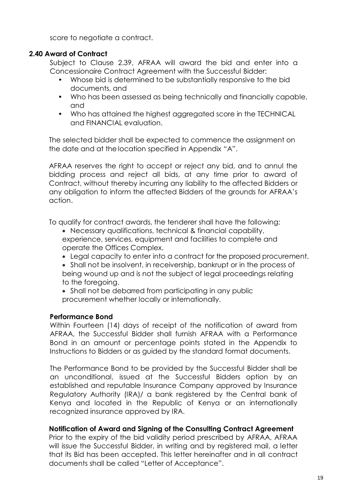score to negotiate a contract.

### **2.40 Award of Contract**

Subject to Clause 2.39, AFRAA will award the bid and enter into a Concessionaire Contract Agreement with the Successful Bidder:

- Whose bid is determined to be substantially responsive to the bid documents, and
- Who has been assessed as being technically and financially capable, and
- Who has attained the highest aggregated score in the TECHNICAL and FINANCIAL evaluation.

The selected bidder shall be expected to commence the assignment on the date and at the location specified in Appendix "A".

AFRAA reserves the right to accept or reject any bid, and to annul the bidding process and reject all bids, at any time prior to award of Contract, without thereby incurring any liability to the affected Bidders or any obligation to inform the affected Bidders of the grounds for AFRAA's action.

To qualify for contract awards, the tenderer shall have the following:

- Necessary qualifications, technical & financial capability, experience, services, equipment and facilities to complete and operate the Offices Complex.
- Legal capacity to enter into a contract for the proposed procurement.
- Shall not be insolvent, in receivership, bankrupt or in the process of being wound up and is not the subject of legal proceedings relating to the foregoing.
- Shall not be debarred from participating in any public procurement whether locally or internationally.

#### **Performance Bond**

Within Fourteen (14) days of receipt of the notification of award from AFRAA, the Successful Bidder shall furnish AFRAA with a Performance Bond in an amount or percentage points stated in the Appendix to Instructions to Bidders or as guided by the standard format documents.

The Performance Bond to be provided by the Successful Bidder shall be an unconditional, issued at the Successful Bidders option by an established and reputable Insurance Company approved by Insurance Regulatory Authority (IRA)/ a bank registered by the Central bank of Kenya and located in the Republic of Kenya or an internationally recognized insurance approved by IRA.

### **Notification of Award and Signing of the Consulting Contract Agreement**

Prior to the expiry of the bid validity period prescribed by AFRAA, AFRAA will issue the Successful Bidder, in writing and by registered mail, a letter that its Bid has been accepted. This letter hereinafter and in all contract documents shall be called "Letter of Acceptance".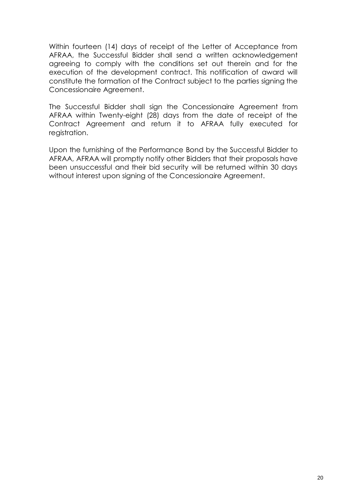Within fourteen (14) days of receipt of the Letter of Acceptance from AFRAA, the Successful Bidder shall send a written acknowledgement agreeing to comply with the conditions set out therein and for the execution of the development contract. This notification of award will constitute the formation of the Contract subject to the parties signing the Concessionaire Agreement.

The Successful Bidder shall sign the Concessionaire Agreement from AFRAA within Twenty-eight (28) days from the date of receipt of the Contract Agreement and return it to AFRAA fully executed for registration.

Upon the furnishing of the Performance Bond by the Successful Bidder to AFRAA, AFRAA will promptly notify other Bidders that their proposals have been unsuccessful and their bid security will be returned within 30 days without interest upon signing of the Concessionaire Agreement.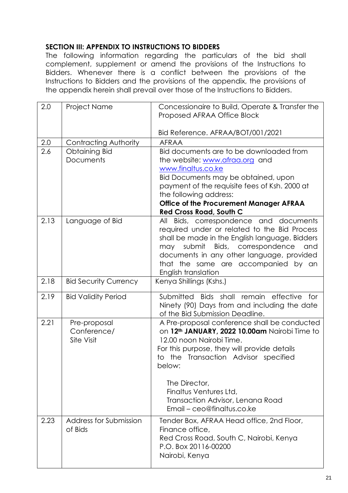### <span id="page-21-0"></span>**SECTION III: APPENDIX TO INSTRUCTIONS TO BIDDERS**

The following information regarding the particulars of the bid shall complement, supplement or amend the provisions of the Instructions to Bidders. Whenever there is a conflict between the provisions of the Instructions to Bidders and the provisions of the appendix, the provisions of the appendix herein shall prevail over those of the Instructions to Bidders.

| 2.0  | <b>Project Name</b>                              | Concessionaire to Build, Operate & Transfer the<br>Proposed AFRAA Office Block                                                                                                                                                                                                                                                                      |  |
|------|--------------------------------------------------|-----------------------------------------------------------------------------------------------------------------------------------------------------------------------------------------------------------------------------------------------------------------------------------------------------------------------------------------------------|--|
|      |                                                  | Bid Reference. AFRAA/BOT/001/2021                                                                                                                                                                                                                                                                                                                   |  |
| 2.0  | Contracting Authority                            | <b>AFRAA</b>                                                                                                                                                                                                                                                                                                                                        |  |
| 2.6  | <b>Obtaining Bid</b><br>Documents                | Bid documents are to be downloaded from<br>the website: www.afraa.org and<br>www.finaltus.co.ke<br>Bid Documents may be obtained, upon<br>payment of the requisite fees of Ksh. 2000 at<br>the following address:<br><b>Office of the Procurement Manager AFRAA</b><br><b>Red Cross Road, South C</b>                                               |  |
| 2.13 | Language of Bid                                  | All Bids, correspondence and documents<br>required under or related to the Bid Process<br>shall be made in the English language. Bidders<br>submit<br>Bids, correspondence<br>and<br>may<br>documents in any other language, provided<br>that the same are accompanied by an<br>English translation                                                 |  |
| 2.18 | <b>Bid Security Currency</b>                     | Kenya Shillings (Kshs.)                                                                                                                                                                                                                                                                                                                             |  |
| 2.19 | <b>Bid Validity Period</b>                       | Submitted<br>Bids shall remain effective<br>for<br>Ninety (90) Days from and including the date<br>of the Bid Submission Deadline.                                                                                                                                                                                                                  |  |
| 2.21 | Pre-proposal<br>Conference/<br><b>Site Visit</b> | A Pre-proposal conference shall be conducted<br>on 12 <sup>th</sup> JANUARY, 2022 10.00am Nairobi Time to<br>12.00 noon Nairobi Time.<br>For this purpose, they will provide details<br>to the Transaction Advisor specified<br>below:<br>The Director,<br>Finaltus Ventures Ltd,<br>Transaction Advisor, Lenana Road<br>Email - ceo@finaltus.co.ke |  |
| 2.23 | Address for Submission<br>of Bids                | Tender Box, AFRAA Head office, 2nd Floor,<br>Finance office,<br>Red Cross Road, South C, Nairobi, Kenya<br>P.O. Box 20116-00200<br>Nairobi, Kenya                                                                                                                                                                                                   |  |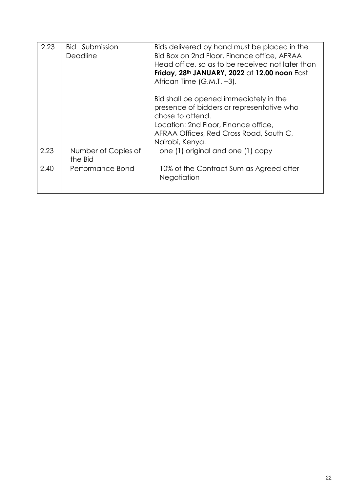| 2.23 | <b>Bid</b> Submission<br>Deadline | Bids delivered by hand must be placed in the<br>Bid Box on 2nd Floor, Finance office, AFRAA<br>Head office, so as to be received not later than<br>Friday, 28th JANUARY, 2022 at 12.00 noon East<br>African Time (G.M.T. +3). |
|------|-----------------------------------|-------------------------------------------------------------------------------------------------------------------------------------------------------------------------------------------------------------------------------|
|      |                                   | Bid shall be opened immediately in the<br>presence of bidders or representative who<br>chose to attend.<br>Location: 2nd Floor, Finance office,<br>AFRAA Offices, Red Cross Road, South C,<br>Nairobi, Kenya.                 |
| 2.23 | Number of Copies of<br>the Bid    | one (1) original and one (1) copy                                                                                                                                                                                             |
| 2.40 | Performance Bond                  | 10% of the Contract Sum as Agreed after<br>Negotiation                                                                                                                                                                        |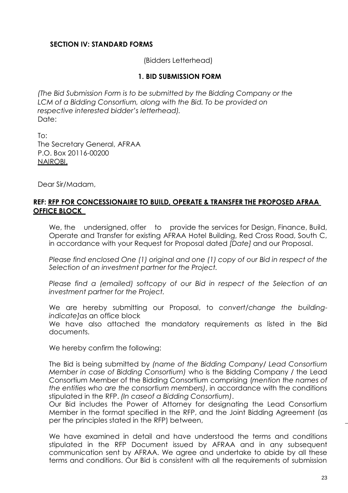#### <span id="page-23-0"></span>**SECTION IV: STANDARD FORMS**

(Bidders Letterhead)

#### **1. BID SUBMISSION FORM**

*(The Bid Submission Form is to be submitted by the Bidding Company or the*  LCM of a Bidding Consortium, along with the Bid. To be provided on *respective interested bidder's letterhead).* Date:

To: The Secretary General, AFRAA P.O. Box 20116-00200 NAIROBI.

Dear Sir/Madam,

#### **REF: RFP FOR CONCESSIONAIRE TO BUILD, OPERATE & TRANSFER THE PROPOSED AFRAA OFFICE BLOCK**

We, the undersigned, offer to provide the services for Design, Finance, Build, Operate and Transfer for existing AFRAA Hotel Building, Red Cross Road, South C, in accordance with your Request for Proposal dated *[Date]* and our Proposal.

*Please find enclosed One (1) original and one (1) copy of our Bid in respect of the Selection of an investment partner for the Project.*

*Please find a (emailed) softcopy of our Bid in respect of the Selection of an investment partner for the Project.*

We are hereby submitting our Proposal, to *convert/change the buildingindicate]*as an office block

We have also attached the mandatory requirements as listed in the Bid documents.

We hereby confirm the following:

The Bid is being submitted by *(name of the Bidding Company/ Lead Consortium Member in case of Bidding Consortium)* who is the Bidding Company / the Lead Consortium Member of the Bidding Consortium comprising (*mention the names of the entities who are the consortium members)*, in accordance with the conditions stipulated in the RFP. *(In caseof a Bidding Consortium)*.

Our Bid includes the Power of Attorney for designating the Lead Consortium Member in the format specified in the RFP, and the Joint Bidding Agreement (as per the principles stated in the RFP) between,  $\overline{\phantom{a}}$ 

We have examined in detail and have understood the terms and conditions stipulated in the RFP Document issued by AFRAA and in any subsequent communication sent by AFRAA. We agree and undertake to abide by all these terms and conditions. Our Bid is consistent with all the requirements of submission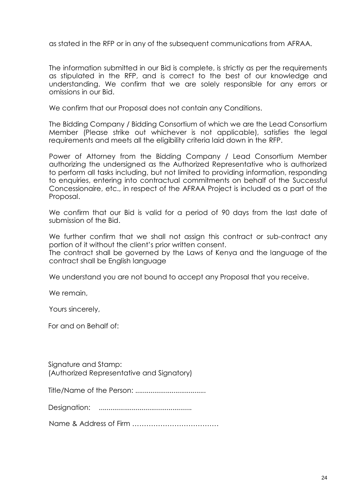as stated in the RFP or in any of the subsequent communications from AFRAA.

The information submitted in our Bid is complete, is strictly as per the requirements as stipulated in the RFP, and is correct to the best of our knowledge and understanding. We confirm that we are solely responsible for any errors or omissions in our Bid.

We confirm that our Proposal does not contain any Conditions.

The Bidding Company / Bidding Consortium of which we are the Lead Consortium Member (Please strike out whichever is not applicable), satisfies the legal requirements and meets all the eligibility criteria laid down in the RFP.

Power of Attorney from the Bidding Company / Lead Consortium Member authorizing the undersigned as the Authorized Representative who is authorized to perform all tasks including, but not limited to providing information, responding to enquiries, entering into contractual commitments on behalf of the Successful Concessionaire, etc., in respect of the AFRAA Project is included as a part of the Proposal.

We confirm that our Bid is valid for a period of 90 days from the last date of submission of the Bid.

We further confirm that we shall not assign this contract or sub-contract any portion of it without the client's prior written consent.

The contract shall be governed by the Laws of Kenya and the language of the contract shall be English language

We understand you are not bound to accept any Proposal that you receive.

We remain.

Yours sincerely,

For and on Behalf of:

Signature and Stamp: (Authorized Representative and Signatory)

Title/Name of the Person: .....................................

Designation: ................................................

Name & Address of Firm ……………………………….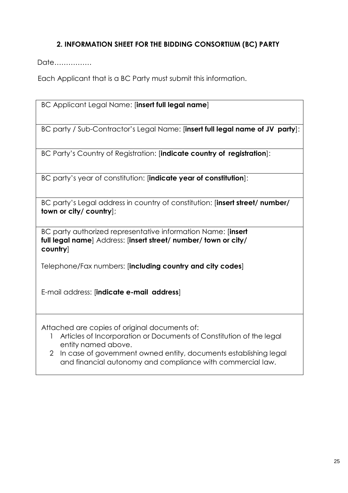## **2. INFORMATION SHEET FOR THE BIDDING CONSORTIUM (BC) PARTY**

Date…………….

Each Applicant that is a BC Party must submit this information.

BC Applicant Legal Name: [**insert full legal name**]

BC party / Sub-Contractor's Legal Name: [**insert full legal name of JV party**]:

BC Party's Country of Registration: [**indicate country of registration**]:

BC party's year of constitution: [**indicate year of constitution**]:

BC party's Legal address in country of constitution: [**insert street/ number/ town or city/ country**];

BC party authorized representative information Name: [**insert full legal name**] Address: [**insert street/ number/ town or city/ country**]

Telephone/Fax numbers: [**including country and city codes**]

E-mail address: [**indicate e-mail address**]

Attached are copies of original documents of:

- 1 Articles of Incorporation or Documents of Constitution of the legal entity named above.
- 2 In case of government owned entity, documents establishing legal and financial autonomy and compliance with commercial law.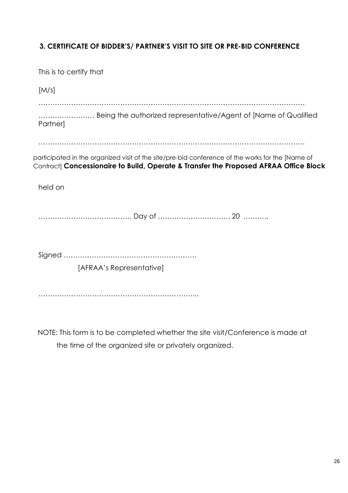## **3. CERTIFICATE OF BIDDER'S/ PARTNER'S VISIT TO SITE OR PRE-BID CONFERENCE**

| This is to certify that                                                                                                                                                                   |  |
|-------------------------------------------------------------------------------------------------------------------------------------------------------------------------------------------|--|
| [M/s]                                                                                                                                                                                     |  |
| Being the authorized representative/Agent of [Name of Qualified<br><b>Partner</b>                                                                                                         |  |
|                                                                                                                                                                                           |  |
| participated in the organized visit of the site/pre-bid conference of the works for the [Name of<br>Contract] Concessionaire to Build, Operate & Transfer the Proposed AFRAA Office Block |  |
| held on                                                                                                                                                                                   |  |
|                                                                                                                                                                                           |  |
|                                                                                                                                                                                           |  |
|                                                                                                                                                                                           |  |
|                                                                                                                                                                                           |  |
| [AFRAA's Representative]                                                                                                                                                                  |  |
|                                                                                                                                                                                           |  |
|                                                                                                                                                                                           |  |

NOTE: This form is to be completed whether the site visit/Conference is made at the time of the organized site or privately organized.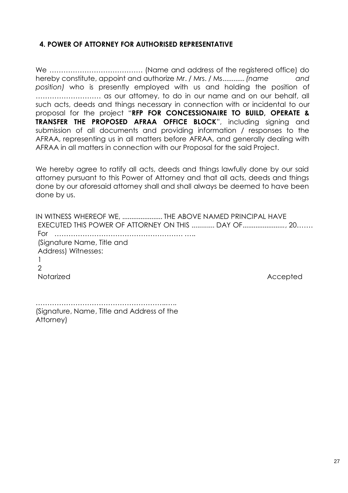#### **4. POWER OF ATTORNEY FOR AUTHORISED REPRESENTATIVE**

We …………………………………. (Name and address of the registered office) do hereby constitute, appoint and authorize Mr. / Mrs. / Ms............ *(name and position)* who is presently employed with us and holding the position of ………………………. as our attorney, to do in our name and on our behalf, all such acts, deeds and things necessary in connection with or incidental to our proposal for the project "**RFP FOR CONCESSIONAIRE TO BUILD, OPERATE & TRANSFER THE PROPOSED AFRAA OFFICE BLOCK**", including signing and submission of all documents and providing information / responses to the AFRAA, representing us in all matters before AFRAA, and generally dealing with AFRAA in all matters in connection with our Proposal for the said Project.

We hereby agree to ratify all acts, deeds and things lawfully done by our said attorney pursuant to this Power of Attorney and that all acts, deeds and things done by our aforesaid attorney shall and shall always be deemed to have been done by us.

IN WITNESS WHEREOF WE, ...................... THE ABOVE NAMED PRINCIPAL HAVE EXECUTED THIS POWER OF ATTORNEY ON THIS ............ DAY OF......................., 20……. For ………………………………………………. ….. (Signature Name, Title and Address) Witnesses: 1  $\mathcal{D}$ Notarized Accepted Accepted Accepted Accepted Accepted Accepted Accepted Accepted Accepted Accepted Accepted Accepted Accepted Accepted Accepted Accepted Accepted Accepted Accepted Accepted Accepted Accepted Accepted Accep

………………………………………………..….. (Signature, Name, Title and Address of the Attorney)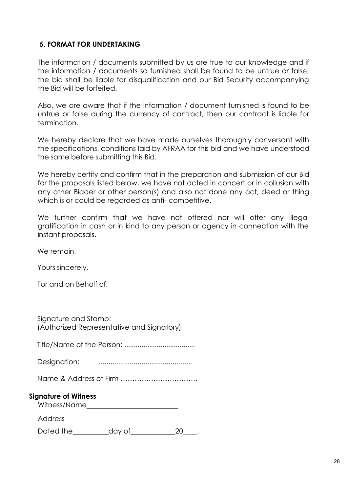#### **5. FORMAT FOR UNDERTAKING**

The information / documents submitted by us are true to our knowledge and if the information / documents so furnished shall be found to be untrue or false, the bid shall be liable for disqualification and our Bid Security accompanying the Bid will be forfeited.

Also, we are aware that if the information / document furnished is found to be untrue or false during the currency of contract, then our contract is liable for termination.

We hereby declare that we have made ourselves thoroughly conversant with the specifications, conditions laid by AFRAA for this bid and we have understood the same before submitting this Bid.

We hereby certify and confirm that in the preparation and submission of our Bid for the proposals listed below, we have not acted in concert or in collusion with any other Bidder or other person(s) and also not done any act, deed or thing which is or could be regarded as anti-competitive.

We further confirm that we have not offered nor will offer any illegal gratification in cash or in kind to any person or agency in connection with the instant proposals.

We remain,

Yours sincerely,

For and on Behalf of:

| Signature and Stamp:                      |  |
|-------------------------------------------|--|
| (Authorized Representative and Signatory) |  |

Title/Name of the Person: .....................................

Designation: ................................................

Name & Address of Firm ……………………………

#### **Signature of Witness**

Witness/Name

Dated the  $\qquad \qquad$  day of  $\qquad \qquad$  20\_\_\_.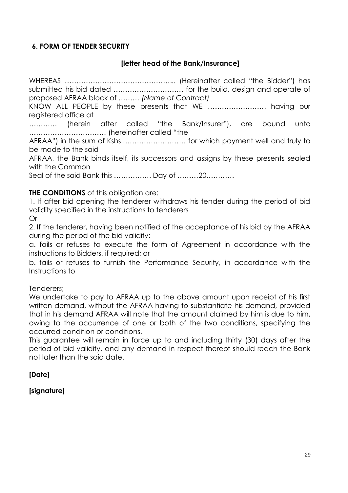### **6. FORM OF TENDER SECURITY**

### **[letter head of the Bank/Insurance]**

WHEREAS ………………………………………... (Hereinafter called "the Bidder") has submitted his bid dated ………………………… for the build, design and operate of proposed AFRAA block of ……… *(Name of Contract)* 

KNOW ALL PEOPLE by these presents that WE ……………………. having our registered office at

………… (herein after called "the Bank/Insurer"), are bound unto …………………………… (hereinafter called "the

AFRAA") in the sum of Kshs.……………………… for which payment well and truly to be made to the said

AFRAA, the Bank binds itself, its successors and assigns by these presents sealed with the Common

Seal of the said Bank this ……………. Day of ………20…………

#### **THE CONDITIONS** of this obligation are:

1. If after bid opening the tenderer withdraws his tender during the period of bid validity specified in the instructions to tenderers

Or

2. If the tenderer, having been notified of the acceptance of his bid by the AFRAA during the period of the bid validity:

a. fails or refuses to execute the form of Agreement in accordance with the instructions to Bidders, if required; or

b. fails or refuses to furnish the Performance Security, in accordance with the Instructions to

Tenderers;

We undertake to pay to AFRAA up to the above amount upon receipt of his first written demand, without the AFRAA having to substantiate his demand, provided that in his demand AFRAA will note that the amount claimed by him is due to him, owing to the occurrence of one or both of the two conditions, specifying the occurred condition or conditions.

This guarantee will remain in force up to and including thirty (30) days after the period of bid validity, and any demand in respect thereof should reach the Bank not later than the said date.

### **[Date]**

### **[signature]**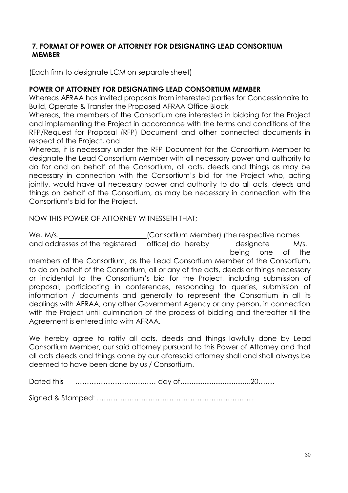### **7. FORMAT OF POWER OF ATTORNEY FOR DESIGNATING LEAD CONSORTIUM MEMBER**

(Each firm to designate LCM on separate sheet)

### **POWER OF ATTORNEY FOR DESIGNATING LEAD CONSORTIUM MEMBER**

Whereas AFRAA has invited proposals from interested parties for Concessionaire to Build, Operate & Transfer the Proposed AFRAA Office Block

Whereas, the members of the Consortium are interested in bidding for the Project and implementing the Project in accordance with the terms and conditions of the RFP/Request for Proposal (RFP) Document and other connected documents in respect of the Project, and

Whereas, it is necessary under the RFP Document for the Consortium Member to designate the Lead Consortium Member with all necessary power and authority to do for and on behalf of the Consortium, all acts, deeds and things as may be necessary in connection with the Consortium's bid for the Project who, acting jointly, would have all necessary power and authority to do all acts, deeds and things on behalf of the Consortium, as may be necessary in connection with the Consortium's bid for the Project.

NOW THIS POWER OF ATTORNEY WITNESSETH THAT;

We, M/s.  $\blacksquare$  (Consortium Member) (the respective names and addresses of the registered office) do hereby designate M/s. being one of the members of the Consortium, as the Lead Consortium Member of the Consortium, to do on behalf of the Consortium, all or any of the acts, deeds or things necessary or incidental to the Consortium's bid for the Project, including submission of proposal, participating in conferences, responding to queries, submission of information / documents and generally to represent the Consortium in all its dealings with AFRAA, any other Government Agency or any person, in connection with the Project until culmination of the process of bidding and thereafter till the Agreement is entered into with AFRAA.

We hereby agree to ratify all acts, deeds and things lawfully done by Lead Consortium Member, our said attorney pursuant to this Power of Attorney and that all acts deeds and things done by our aforesaid attorney shall and shall always be deemed to have been done by us / Consortium.

Dated this …………………….….…… day of......................................20…….

Signed & Stamped: …………………………………………………………..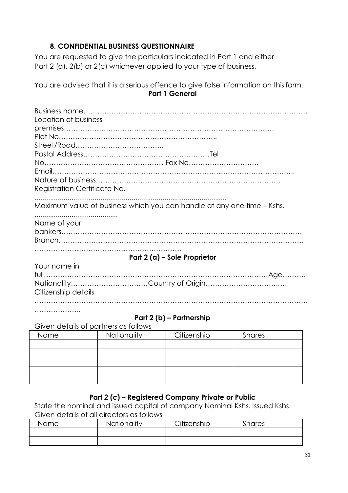### **8. CONFIDENTIAL BUSINESS QUESTIONNAIRE**

You are requested to give the particulars indicated in Part 1 and either Part 2 (a), 2(b) or 2(c) whichever applied to your type of business.

You are advised that it is a serious offence to give false information on this form. **Part 1 General**

| Location of business<br>Registration Certificate No.                   |
|------------------------------------------------------------------------|
| Maximum value of business which you can handle at any one time - Kshs. |
| Name of your                                                           |
| Part 2 (a) – Sole Proprietor                                           |
| Your name in<br>Citizenship details                                    |
| .                                                                      |

#### **Part 2 (b) – Partnership**

Given details of partners as follows

| Name | Nationality | Citizenship | Shares |  |
|------|-------------|-------------|--------|--|
|      |             |             |        |  |
|      |             |             |        |  |
|      |             |             |        |  |
|      |             |             |        |  |
|      |             |             |        |  |

### **Part 2 (c) – Registered Company Private or Public**

State the nominal and issued capital of company Nominal Kshs. Issued Kshs. Given details of all directors as follows

| Name | Nationality | Citizenship | Shares |
|------|-------------|-------------|--------|
|      |             |             |        |
|      |             |             |        |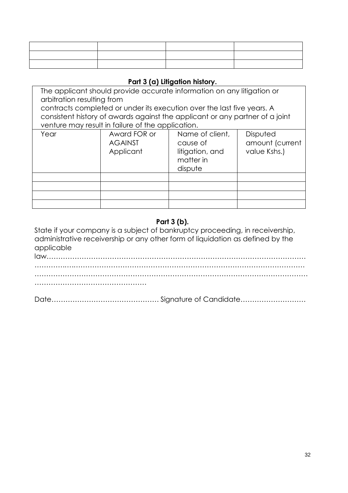### **Part 3 (a) Litigation history.**

The applicant should provide accurate information on any litigation or arbitration resulting from contracts completed or under its execution over the last five years. A consistent history of awards against the applicant or any partner of a joint venture may result in failure of the application.

| Year | Award FOR or<br><b>AGAINST</b><br>Applicant | Name of client,<br>cause of<br>litigation, and<br>matter in<br>dispute | Disputed<br>amount (current<br>value Kshs.) |
|------|---------------------------------------------|------------------------------------------------------------------------|---------------------------------------------|
|      |                                             |                                                                        |                                             |
|      |                                             |                                                                        |                                             |
|      |                                             |                                                                        |                                             |
|      |                                             |                                                                        |                                             |

#### **Part 3 (b).**

State if your company is a subject of bankruptcy proceeding, in receivership, administrative receivership or any other form of liquidation as defined by the applicable

law………………………………………………………………………………………………… ………….….……………………………………………………………………………………… ……………………………………………………………………………………………………… …………………………………………

|--|--|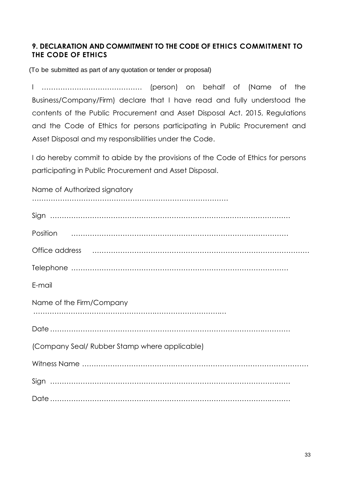### **9. DECLARATION AND COMMITMENT TO THE CODE OF ETHICS COMMITMENT TO THE CODE OF ETHICS**

(To be submitted as part of any quotation or tender or proposal)

I ……………………………………. (person) on behalf of (Name of the Business/Company/Firm) declare that I have read and fully understood the contents of the Public Procurement and Asset Disposal Act. 2015, Regulations and the Code of Ethics for persons participating in Public Procurement and Asset Disposal and my responsibilities under the Code.

I do hereby commit to abide by the provisions of the Code of Ethics for persons participating in Public Procurement and Asset Disposal.

| Name of Authorized signatory                                                                                                                                                                                                   |
|--------------------------------------------------------------------------------------------------------------------------------------------------------------------------------------------------------------------------------|
|                                                                                                                                                                                                                                |
|                                                                                                                                                                                                                                |
| Office address music continuum contracts and all the contracts of the contracts of the contracts of the contracts of the contracts of the contracts of the contracts of the contracts of the contracts of the contracts of the |
|                                                                                                                                                                                                                                |
| E-mail                                                                                                                                                                                                                         |
| Name of the Firm/Company                                                                                                                                                                                                       |
|                                                                                                                                                                                                                                |
| (Company Seal/ Rubber Stamp where applicable)                                                                                                                                                                                  |
|                                                                                                                                                                                                                                |
|                                                                                                                                                                                                                                |
|                                                                                                                                                                                                                                |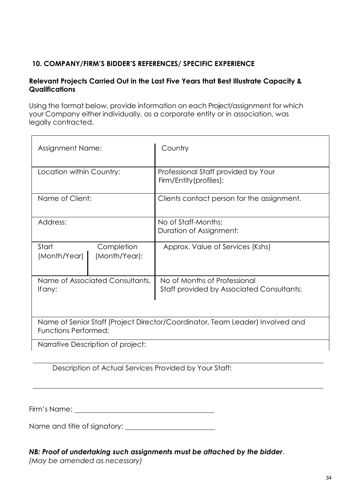## **10. COMPANY/FIRM'S BIDDER'S REFERENCES/ SPECIFIC EXPERIENCE**

#### **Relevant Projects Carried Out in the Last Five Years that Best Illustrate Capacity & Qualifications**

Using the format below, provide information on each Project/assignment for which your Company either individually, as a corporate entity or in association, was legally contracted.

| <b>Assignment Name:</b>                                                                                      | Country                                                                          |  |  |  |  |
|--------------------------------------------------------------------------------------------------------------|----------------------------------------------------------------------------------|--|--|--|--|
| Location within Country:                                                                                     | Professional Staff provided by Your<br>Firm/Entity(profiles):                    |  |  |  |  |
| Name of Client:                                                                                              | Clients contact person for the assignment.                                       |  |  |  |  |
| Address:                                                                                                     | No of Staff-Months;<br>Duration of Assignment:                                   |  |  |  |  |
| Start<br>Completion<br>(Month/Year)<br>(Month/Year):                                                         | Approx. Value of Services (Kshs)                                                 |  |  |  |  |
| Name of Associated Consultants.<br>If any:                                                                   | No of Months of Professional<br><b>Staff provided by Associated Consultants:</b> |  |  |  |  |
| Name of Senior Staff (Project Director/Coordinator, Team Leader) Involved and<br><b>Functions Performed:</b> |                                                                                  |  |  |  |  |
| Narrative Description of project:                                                                            |                                                                                  |  |  |  |  |

Description of Actual Services Provided by Your Staff:

Firm's Name:

Name and title of signatory;

### *NB: Proof of undertaking such assignments must be attached by the bidder*.

*(May be amended as necessary)*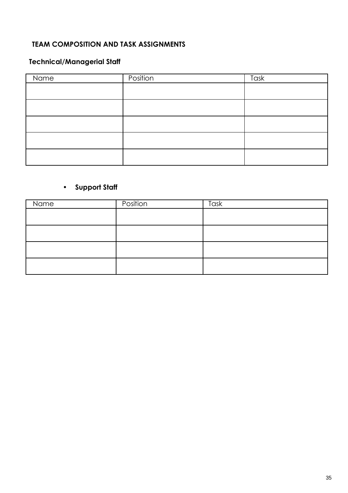## **TEAM COMPOSITION AND TASK ASSIGNMENTS**

## **Technical/Managerial Staff**

| Name | Position | Task |
|------|----------|------|
|      |          |      |
|      |          |      |
|      |          |      |
|      |          |      |
|      |          |      |

# • **Support Staff**

| Name | Position | Task |
|------|----------|------|
|      |          |      |
|      |          |      |
|      |          |      |
|      |          |      |
|      |          |      |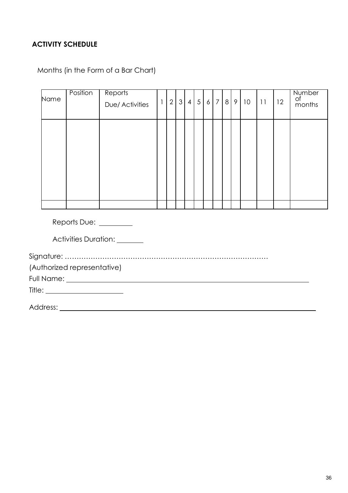## **ACTIVITY SCHEDULE**

Months (in the Form of a Bar Chart)

|      | Position                    | Reports                                                                                                                                                                                                                        |              |                |     |     |  |     |    |    |    | Number       |
|------|-----------------------------|--------------------------------------------------------------------------------------------------------------------------------------------------------------------------------------------------------------------------------|--------------|----------------|-----|-----|--|-----|----|----|----|--------------|
| Name |                             | Due/ Activities                                                                                                                                                                                                                | $\mathbf{1}$ | 2 <sup>1</sup> | 3 4 | 567 |  | 8 9 | 10 | 11 | 12 | of<br>months |
|      |                             |                                                                                                                                                                                                                                |              |                |     |     |  |     |    |    |    |              |
|      |                             |                                                                                                                                                                                                                                |              |                |     |     |  |     |    |    |    |              |
|      |                             |                                                                                                                                                                                                                                |              |                |     |     |  |     |    |    |    |              |
|      |                             |                                                                                                                                                                                                                                |              |                |     |     |  |     |    |    |    |              |
|      |                             |                                                                                                                                                                                                                                |              |                |     |     |  |     |    |    |    |              |
|      |                             |                                                                                                                                                                                                                                |              |                |     |     |  |     |    |    |    |              |
|      |                             |                                                                                                                                                                                                                                |              |                |     |     |  |     |    |    |    |              |
|      |                             |                                                                                                                                                                                                                                |              |                |     |     |  |     |    |    |    |              |
|      |                             |                                                                                                                                                                                                                                |              |                |     |     |  |     |    |    |    |              |
|      | Reports Due: ________       |                                                                                                                                                                                                                                |              |                |     |     |  |     |    |    |    |              |
|      |                             | Activities Duration: ______                                                                                                                                                                                                    |              |                |     |     |  |     |    |    |    |              |
|      |                             |                                                                                                                                                                                                                                |              |                |     |     |  |     |    |    |    |              |
|      | (Authorized representative) |                                                                                                                                                                                                                                |              |                |     |     |  |     |    |    |    |              |
|      |                             | Full Name: Name and South Art and South Art and South Art and South Art and South Art and South Art and South Art and South Art and Art and Art and Art and Art and Art and Art and Art and Art and Art and Art and Art and Ar |              |                |     |     |  |     |    |    |    |              |
|      |                             |                                                                                                                                                                                                                                |              |                |     |     |  |     |    |    |    |              |
|      |                             |                                                                                                                                                                                                                                |              |                |     |     |  |     |    |    |    |              |

Address: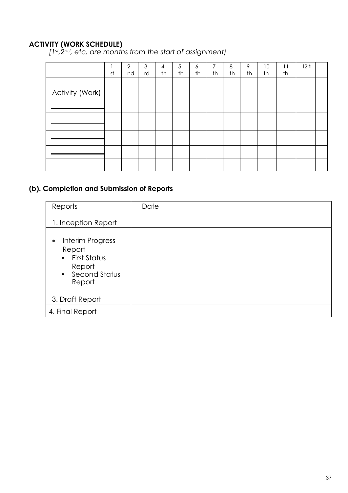## **ACTIVITY (WORK SCHEDULE)**

*[1st,2nd, etc, are months from the start of assignment)*

|                 | st | $\overline{2}$<br>nd | 3<br>rd | 4<br>th | 5<br>th | 6<br>th | 7<br>th | 8<br>th | 9<br>th | 10 <sup>°</sup><br>th | 11<br>th | 12th |  |
|-----------------|----|----------------------|---------|---------|---------|---------|---------|---------|---------|-----------------------|----------|------|--|
|                 |    |                      |         |         |         |         |         |         |         |                       |          |      |  |
| Activity (Work) |    |                      |         |         |         |         |         |         |         |                       |          |      |  |
|                 |    |                      |         |         |         |         |         |         |         |                       |          |      |  |
|                 |    |                      |         |         |         |         |         |         |         |                       |          |      |  |
|                 |    |                      |         |         |         |         |         |         |         |                       |          |      |  |
|                 |    |                      |         |         |         |         |         |         |         |                       |          |      |  |
|                 |    |                      |         |         |         |         |         |         |         |                       |          |      |  |
|                 |    |                      |         |         |         |         |         |         |         |                       |          |      |  |
|                 |    |                      |         |         |         |         |         |         |         |                       |          |      |  |

## **(b). Completion and Submission of Reports**

| Reports                                                                                                     | Date |
|-------------------------------------------------------------------------------------------------------------|------|
| 1. Inception Report                                                                                         |      |
| Interim Progress<br>$\bullet$<br>Report<br>First Status<br>$\bullet$<br>Report<br>• Second Status<br>Report |      |
| 3. Draft Report                                                                                             |      |
| 4. Final Report                                                                                             |      |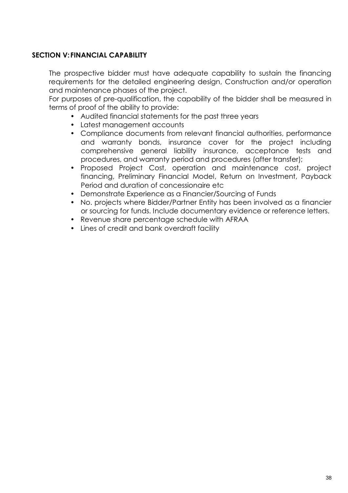### <span id="page-38-0"></span>**SECTION V:FINANCIAL CAPABILITY**

The prospective bidder must have adequate capability to sustain the financing requirements for the detailed engineering design, Construction and/or operation and maintenance phases of the project.

For purposes of pre-qualification, the capability of the bidder shall be measured in terms of proof of the ability to provide:

- Audited financial statements for the past three years
- Latest management accounts
- Compliance documents from relevant financial authorities, performance and warranty bonds, insurance cover for the project including comprehensive general liability insurance, acceptance tests and procedures, and warranty period and procedures (after transfer);
- Proposed Project Cost, operation and maintenance cost, project financing, Preliminary Financial Model, Return on Investment, Payback Period and duration of concessionaire etc
- Demonstrate Experience as a Financier/Sourcing of Funds
- No. projects where Bidder/Partner Entity has been involved as a financier or sourcing for funds. Include documentary evidence or reference letters.
- Revenue share percentage schedule with AFRAA
- Lines of credit and bank overdraft facility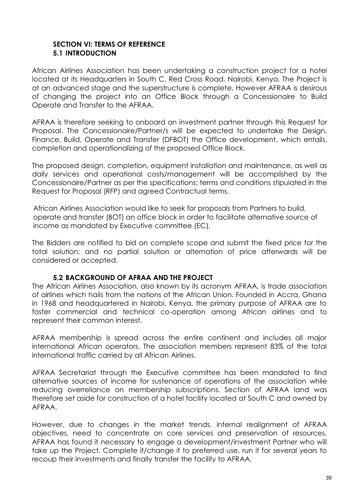#### <span id="page-39-0"></span>**SECTION VI: TERMS OF REFERENCE 5.1 INTRODUCTION**

African Airlines Association has been undertaking a construction project for a hotel located at its Headquarters in South C, Red Cross Road, Nairobi, Kenya. The Project is at an advanced stage and the superstructure is complete. However AFRAA is desirous of changing the project into an Office Block through a Concessionaire to Build Operate and Transfer to the AFRAA.

AFRAA is therefore seeking to onboard an investment partner through this Request for Proposal. The Concessionaire/Partner/s will be expected to undertake the Design, Finance, Build, Operate and Transfer (DFBOT) the Office development, which entails, completion and operationalizing of the proposed Office Block.

The proposed design, completion, equipment installation and maintenance, as well as daily services and operational costs/management will be accomplished by the Concessionaire/Partner as per the specifications; terms and conditions stipulated in the Request for Proposal (RFP) and agreed Contractual terms.

African Airlines Association would like to seek for proposals from Partners to build, operate and transfer (BOT) an office block in order to facilitate alternative source of income as mandated by Executive committee (EC).

The Bidders are notified to bid on complete scope and submit the fixed price for the total solution; and no partial solution or alternation of price afterwards will be considered or accepted.

#### **5.2 BACKGROUND OF AFRAA AND THE PROJECT**

The African Airlines Association, also known by its acronym AFRAA, is trade association of airlines which hails from the nations of the African Union. Founded in Accra, Ghana in 1968 and headquartered in Nairobi, Kenya, the primary purpose of AFRAA are to foster commercial and technical co-operation among African airlines and to represent their common interest.

AFRAA membership is spread across the entire continent and includes all major international African operators. The association members represent 83% of the total international traffic carried by all African Airlines.

AFRAA Secretariat through the Executive committee has been mandated to find alternative sources of income for sustenance of operations of the association while reducing overreliance on membership subscriptions. Section of AFRAA land was therefore set aside for construction of a hotel facility located at South C and owned by AFRAA.

However, due to changes in the market trends, internal realignment of AFRAA objectives, need to concentrate on core services and preservation of resources, AFRAA has found it necessary to engage a development/investment Partner who will take up the Project, Complete it/change it to preferred use, run it for several years to recoup their investments and finally transfer the facility to AFRAA.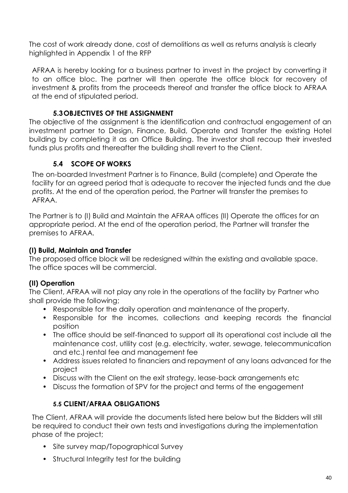The cost of work already done, cost of demolitions as well as returns analysis is clearly highlighted in Appendix 1 of the RFP

AFRAA is hereby looking for a business partner to invest in the project by converting it to an office bloc. The partner will then operate the office block for recovery of investment & profits from the proceeds thereof and transfer the office block to AFRAA at the end of stipulated period.

## **5.3OBJECTIVES OF THE ASSIGNMENT**

The objective of the assignment is the identification and contractual engagement of an investment partner to Design, Finance, Build, Operate and Transfer the existing Hotel building by completing it as an Office Building. The investor shall recoup their invested funds plus profits and thereafter the building shall revert to the Client.

## **5.4 SCOPE OF WORKS**

The on-boarded Investment Partner is to Finance, Build (complete) and Operate the facility for an agreed period that is adequate to recover the injected funds and the due profits. At the end of the operation period, the Partner will transfer the premises to AFRAA.

The Partner is to (I) Build and Maintain the AFRAA offices (II) Operate the offices for an appropriate period. At the end of the operation period, the Partner will transfer the premises to AFRAA.

## **(I) Build, Maintain and Transfer**

The proposed office block will be redesigned within the existing and available space. The office spaces will be commercial.

## **(II) Operation**

The Client, AFRAA will not play any role in the operations of the facility by Partner who shall provide the following;

- Responsible for the daily operation and maintenance of the property.
- Responsible for the incomes, collections and keeping records the financial position
- The office should be self-financed to support all its operational cost include all the maintenance cost, utility cost (e.g. electricity, water, sewage, telecommunication and etc.) rental fee and management fee
- Address issues related to financiers and repayment of any loans advanced for the project
- Discuss with the Client on the exit strategy, lease-back arrangements etc
- Discuss the formation of SPV for the project and terms of the engagement

## **5.5 CLIENT/AFRAA OBLIGATIONS**

The Client, AFRAA will provide the documents listed here below but the Bidders will still be required to conduct their own tests and investigations during the implementation phase of the project;

- Site survey map/Topographical Survey
- Structural Integrity test for the building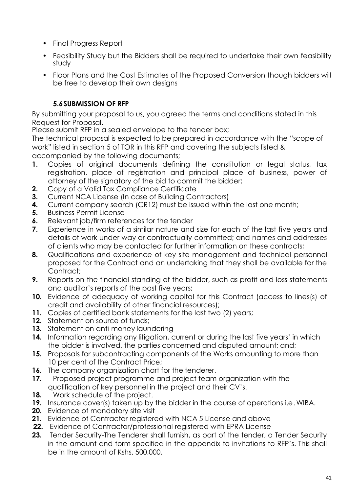- Final Progress Report
- Feasibility Study but the Bidders shall be required to undertake their own feasibility study
- Floor Plans and the Cost Estimates of the Proposed Conversion though bidders will be free to develop their own designs

## **5.6SUBMISSION OF RFP**

By submitting your proposal to us, you agreed the terms and conditions stated in this Request for Proposal.

Please submit RFP in a sealed envelope to the tender box;

The technical proposal is expected to be prepared in accordance with the "scope of work" listed in section 5 of TOR in this RFP and covering the subjects listed & accompanied by the following documents;

- **1.** Copies of original documents defining the constitution or legal status, tax registration, place of registration and principal place of business, power of attorney of the signatory of the bid to commit the bidder;
- **2.** Copy of a Valid Tax Compliance Certificate
- **3.** Current NCA License (In case of Building Contractors)
- **4.** Current company search (CR12) must be issued within the last one month;
- **5.** Business Permit License
- **6.** Relevant job/firm references for the tender
- **7.** Experience in works of a similar nature and size for each of the last five years and details of work under way or contractually committed; and names and addresses of clients who may be contacted for further information on these contracts;
- **8.** Qualifications and experience of key site management and technical personnel proposed for the Contract and an undertaking that they shall be available for the Contract:
- **9.** Reports on the financial standing of the bidder, such as profit and loss statements and auditor's reports of the past five years;
- **10.** Evidence of adequacy of working capital for this Contract (access to lines(s) of credit and availability of other financial resources);
- **11.** Copies of certified bank statements for the last two (2) years;
- **12.** Statement on source of funds;
- **13.** Statement on anti-money laundering
- **14.** Information regarding any litigation, current or during the last five years' in which the bidder is involved, the parties concerned and disputed amount; and;
- **15.** Proposals for subcontracting components of the Works amounting to more than 10 per cent of the Contract Price;
- **16.** The company organization chart for the tenderer.
- **17.** Proposed project programme and project team organization with the qualification of key personnel in the project and their CV's.
- **18.** Work schedule of the project.
- **19.** Insurance cover(s) taken up by the bidder in the course of operations i.e. WIBA.
- **20.** Evidence of mandatory site visit
- **21.** Evidence of Contractor registered with NCA 5 License and above
- **22.** Evidence of Contractor/professional registered with EPRA License
- **23.** Tender Security-The Tenderer shall furnish, as part of the tender, a Tender Security in the amount and form specified in the appendix to invitations to RFP's. This shall be in the amount of Kshs. 500,000.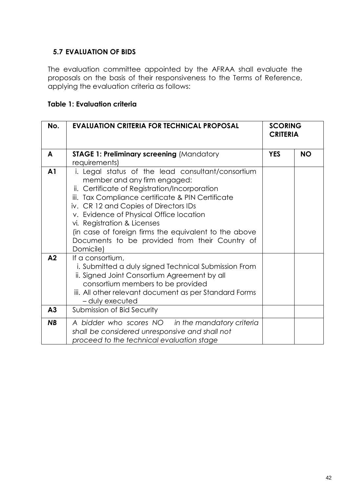### **5.7 EVALUATION OF BIDS**

The evaluation committee appointed by the AFRAA shall evaluate the proposals on the basis of their responsiveness to the Terms of Reference, applying the evaluation criteria as follows:

#### **Table 1: Evaluation criteria**

| No.            | <b>EVALUATION CRITERIA FOR TECHNICAL PROPOSAL</b>                                                                                                                                                                                                                                                                                                                                                                                  | <b>SCORING</b><br><b>CRITERIA</b> |           |
|----------------|------------------------------------------------------------------------------------------------------------------------------------------------------------------------------------------------------------------------------------------------------------------------------------------------------------------------------------------------------------------------------------------------------------------------------------|-----------------------------------|-----------|
| A              | <b>STAGE 1: Preliminary screening (Mandatory</b><br>requirements)                                                                                                                                                                                                                                                                                                                                                                  | <b>YES</b>                        | <b>NO</b> |
| A <sub>1</sub> | i. Legal status of the lead consultant/consortium<br>member and any firm engaged:<br>ii. Certificate of Registration/Incorporation<br>iii. Tax Compliance certificate & PIN Certificate<br>iv. CR 12 and Copies of Directors IDs<br>v. Evidence of Physical Office location<br>vi. Registration & Licenses<br>(in case of foreign firms the equivalent to the above<br>Documents to be provided from their Country of<br>Domicile) |                                   |           |
| A <sub>2</sub> | If a consortium,<br>i. Submitted a duly signed Technical Submission From<br>ii. Signed Joint Consortium Agreement by all<br>consortium members to be provided<br>iii. All other relevant document as per Standard Forms<br>- duly executed                                                                                                                                                                                         |                                   |           |
| A3             | Submission of Bid Security                                                                                                                                                                                                                                                                                                                                                                                                         |                                   |           |
| <b>NB</b>      | A bidder who scores NO in the mandatory criteria<br>shall be considered unresponsive and shall not<br>proceed to the technical evaluation stage                                                                                                                                                                                                                                                                                    |                                   |           |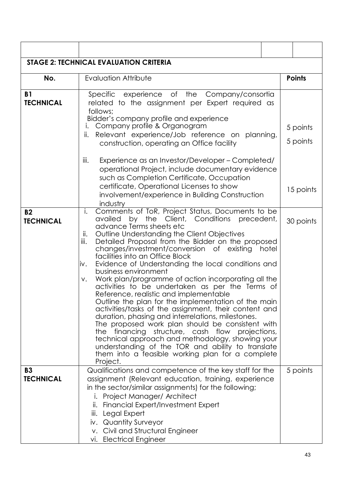| <b>STAGE 2: TECHNICAL EVALUATION CRITERIA</b> |                                                                                                                                                                                                                                                                                                                                                                                                                                                                                                                                                                                                                                                                                                                                                                                                                                                                                                                                                                                                                                           |       |                      |  |  |  |  |  |  |  |
|-----------------------------------------------|-------------------------------------------------------------------------------------------------------------------------------------------------------------------------------------------------------------------------------------------------------------------------------------------------------------------------------------------------------------------------------------------------------------------------------------------------------------------------------------------------------------------------------------------------------------------------------------------------------------------------------------------------------------------------------------------------------------------------------------------------------------------------------------------------------------------------------------------------------------------------------------------------------------------------------------------------------------------------------------------------------------------------------------------|-------|----------------------|--|--|--|--|--|--|--|
| No.                                           | <b>Evaluation Attribute</b>                                                                                                                                                                                                                                                                                                                                                                                                                                                                                                                                                                                                                                                                                                                                                                                                                                                                                                                                                                                                               |       | <b>Points</b>        |  |  |  |  |  |  |  |
| <b>B1</b><br><b>TECHNICAL</b>                 | Specific experience of the Company/consortia<br>related to the assignment per Expert required as<br>follows;<br>Bidder's company profile and experience<br>Company profile & Organogram<br>İ.<br>Relevant experience/Job reference on planning,<br>ii.<br>construction, operating an Office facility                                                                                                                                                                                                                                                                                                                                                                                                                                                                                                                                                                                                                                                                                                                                      |       | 5 points<br>5 points |  |  |  |  |  |  |  |
|                                               | Experience as an Investor/Developer - Completed/<br>iii.<br>operational Project, include documentary evidence<br>such as Completion Certificate, Occupation<br>certificate, Operational Licenses to show<br>involvement/experience in Building Construction<br>industry                                                                                                                                                                                                                                                                                                                                                                                                                                                                                                                                                                                                                                                                                                                                                                   |       | 15 points            |  |  |  |  |  |  |  |
| <b>B2</b><br><b>TECHNICAL</b>                 | Comments of ToR, Project Status, Documents to be<br>i.<br>availed by the Client, Conditions precedent,<br>advance Terms sheets etc<br>Outline Understanding the Client Objectives<br>ii.<br>iii.<br>Detailed Proposal from the Bidder on the proposed<br>changes/investment/conversion of existing<br>facilities into an Office Block<br>Evidence of Understanding the local conditions and<br>iv.<br>business environment<br>Work plan/programme of action incorporating all the<br>V.<br>activities to be undertaken as per the Terms of<br>Reference, realistic and implementable<br>Outline the plan for the implementation of the main<br>activities/tasks of the assignment, their content and<br>duration, phasing and interrelations, milestones.<br>The proposed work plan should be consistent with<br>the financing structure, cash flow projections,<br>technical approach and methodology, showing your<br>understanding of the TOR and ability to translate<br>them into a feasible working plan for a complete<br>Project. | hotel | 30 points            |  |  |  |  |  |  |  |
| <b>B3</b><br><b>TECHNICAL</b>                 | Qualifications and competence of the key staff for the<br>assignment (Relevant education, training, experience<br>in the sector/similar assignments) for the following;<br>Project Manager/ Architect<br>ii. Financial Expert/Investment Expert<br>Legal Expert<br>iii.<br>iv. Quantity Surveyor<br>v. Civil and Structural Engineer<br>vi. Electrical Engineer                                                                                                                                                                                                                                                                                                                                                                                                                                                                                                                                                                                                                                                                           |       | 5 points             |  |  |  |  |  |  |  |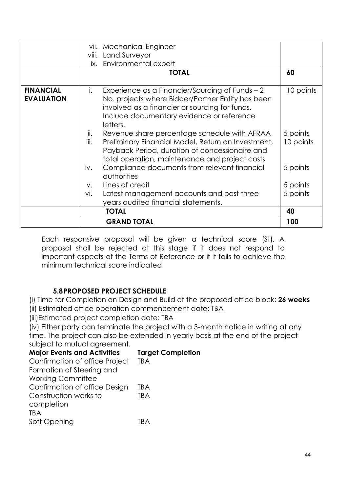|                                       | vii.        | <b>Mechanical Engineer</b>                                                                                                                                                                                      |                       |
|---------------------------------------|-------------|-----------------------------------------------------------------------------------------------------------------------------------------------------------------------------------------------------------------|-----------------------|
|                                       | viii.       | Land Surveyor                                                                                                                                                                                                   |                       |
|                                       |             | ix. Environmental expert                                                                                                                                                                                        |                       |
|                                       |             | <b>TOTAL</b>                                                                                                                                                                                                    | 60                    |
| <b>FINANCIAL</b><br><b>EVALUATION</b> | i.          | Experience as a Financier/Sourcing of Funds - 2<br>No. projects where Bidder/Partner Entity has been<br>involved as a financier or sourcing for funds.<br>Include documentary evidence or reference<br>letters. | 10 points             |
|                                       | ii.<br>iii. | Revenue share percentage schedule with AFRAA<br>Preliminary Financial Model, Return on Investment,<br>Payback Period, duration of concessionaire and<br>total operation, maintenance and project costs          | 5 points<br>10 points |
|                                       | iv.         | Compliance documents from relevant financial<br>authorities                                                                                                                                                     | 5 points              |
|                                       | $V_{\star}$ | Lines of credit                                                                                                                                                                                                 | 5 points              |
|                                       | vi.         | Latest management accounts and past three<br>years audited financial statements.                                                                                                                                | 5 points              |
|                                       |             | <b>TOTAL</b>                                                                                                                                                                                                    | 40                    |
|                                       |             | <b>GRAND TOTAL</b>                                                                                                                                                                                              | 100                   |

Each responsive proposal will be given a technical score (St). A proposal shall be rejected at this stage if it does not respond to important aspects of the Terms of Reference or if it fails to achieve the minimum technical score indicated

## **5.8PROPOSED PROJECT SCHEDULE**

(i) Time for Completion on Design and Build of the proposed office block: **26 weeks**

(ii) Estimated office operation commencement date: TBA

(iii)Estimated project completion date: TBA

(iv) Either party can terminate the project with a 3-month notice in writing at any time. The project can also be extended in yearly basis at the end of the project subject to mutual agreement.

| <b>Major Events and Activities</b> | <b>Target Completion</b> |
|------------------------------------|--------------------------|
| Confirmation of office Project     | <b>TBA</b>               |
| Formation of Steering and          |                          |
| <b>Working Committee</b>           |                          |
| Confirmation of office Design      | TBA                      |
| Construction works to              | TBA                      |
| completion                         |                          |
| TBA                                |                          |
| Soft Opening                       | TR A                     |